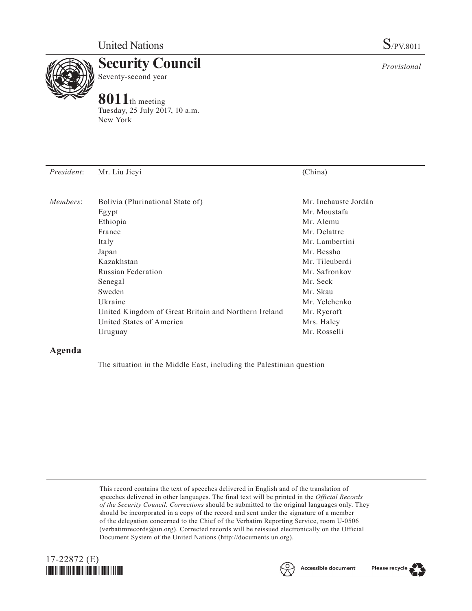

**Security Council** Seventy-second year

## **8011**th meeting

Tuesday, 25 July 2017, 10 a.m. New York

*President*: Mr. Liu Jieyi (China)

| Members: | Bolivia (Plurinational State of)                     | Mr. Inchauste Jordán |
|----------|------------------------------------------------------|----------------------|
|          | Egypt                                                | Mr. Moustafa         |
|          | Ethiopia                                             | Mr. Alemu            |
|          | France                                               | Mr. Delattre         |
|          | Italy                                                | Mr. Lambertini       |
|          | Japan                                                | Mr. Bessho           |
|          | Kazakhstan                                           | Mr. Tileuberdi       |
|          | <b>Russian Federation</b>                            | Mr. Safronkov        |
|          | Senegal                                              | Mr. Seck             |
|          | Sweden                                               | Mr. Skau             |
|          | Ukraine                                              | Mr. Yelchenko        |
|          | United Kingdom of Great Britain and Northern Ireland | Mr. Rycroft          |
|          | United States of America                             | Mrs. Haley           |
|          | Uruguay                                              | Mr. Rosselli         |

## **Agenda**

The situation in the Middle East, including the Palestinian question

This record contains the text of speeches delivered in English and of the translation of speeches delivered in other languages. The final text will be printed in the *Official Records of the Security Council. Corrections* should be submitted to the original languages only. They should be incorporated in a copy of the record and sent under the signature of a member of the delegation concerned to the Chief of the Verbatim Reporting Service, room U-0506 (verbatimrecords $@un.org$ ). Corrected records will be reissued electronically on the Official Document System of the United Nations [\(http://documents.un.org\)](http://documents.un.org).





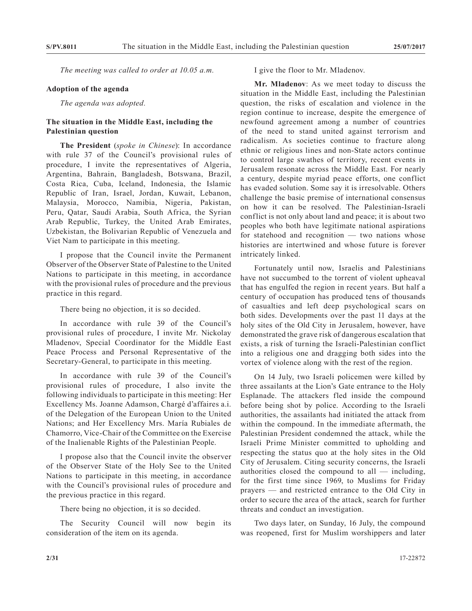*The meeting was called to order at 10.05 a.m.*

## **Adoption of the agenda**

*The agenda was adopted.*

## **The situation in the Middle East, including the Palestinian question**

**The President** (*spoke in Chinese*): In accordance with rule 37 of the Council's provisional rules of procedure, I invite the representatives of Algeria, Argentina, Bahrain, Bangladesh, Botswana, Brazil, Costa Rica, Cuba, Iceland, Indonesia, the Islamic Republic of Iran, Israel, Jordan, Kuwait, Lebanon, Malaysia, Morocco, Namibia, Nigeria, Pakistan, Peru, Qatar, Saudi Arabia, South Africa, the Syrian Arab Republic, Turkey, the United Arab Emirates, Uzbekistan, the Bolivarian Republic of Venezuela and Viet Nam to participate in this meeting.

I propose that the Council invite the Permanent Observer of the Observer State of Palestine to the United Nations to participate in this meeting, in accordance with the provisional rules of procedure and the previous practice in this regard.

There being no objection, it is so decided.

In accordance with rule 39 of the Council's provisional rules of procedure, I invite Mr. Nickolay Mladenov, Special Coordinator for the Middle East Peace Process and Personal Representative of the Secretary-General, to participate in this meeting.

In accordance with rule 39 of the Council's provisional rules of procedure, I also invite the following individuals to participate in this meeting: Her Excellency Ms. Joanne Adamson, Chargé d'affaires a.i. of the Delegation of the European Union to the United Nations; and Her Excellency Mrs. María Rubiales de Chamorro, Vice-Chair of the Committee on the Exercise of the Inalienable Rights of the Palestinian People.

I propose also that the Council invite the observer of the Observer State of the Holy See to the United Nations to participate in this meeting, in accordance with the Council's provisional rules of procedure and the previous practice in this regard.

There being no objection, it is so decided.

The Security Council will now begin its consideration of the item on its agenda.

I give the floor to Mr. Mladenov.

**Mr. Mladenov**: As we meet today to discuss the situation in the Middle East, including the Palestinian question, the risks of escalation and violence in the region continue to increase, despite the emergence of newfound agreement among a number of countries of the need to stand united against terrorism and radicalism. As societies continue to fracture along ethnic or religious lines and non-State actors continue to control large swathes of territory, recent events in Jerusalem resonate across the Middle East. For nearly a century, despite myriad peace efforts, one conflict has evaded solution. Some say it is irresolvable. Others challenge the basic premise of international consensus on how it can be resolved. The Palestinian-Israeli conflict is not only about land and peace; it is about two peoples who both have legitimate national aspirations for statehood and recognition — two nations whose histories are intertwined and whose future is forever intricately linked.

Fortunately until now, Israelis and Palestinians have not succumbed to the torrent of violent upheaval that has engulfed the region in recent years. But half a century of occupation has produced tens of thousands of casualties and left deep psychological scars on both sides. Developments over the past 11 days at the holy sites of the Old City in Jerusalem, however, have demonstrated the grave risk of dangerous escalation that exists, a risk of turning the Israeli-Palestinian conflict into a religious one and dragging both sides into the vortex of violence along with the rest of the region.

On 14 July, two Israeli policemen were killed by three assailants at the Lion's Gate entrance to the Holy Esplanade. The attackers fled inside the compound before being shot by police. According to the Israeli authorities, the assailants had initiated the attack from within the compound. In the immediate aftermath, the Palestinian President condemned the attack, while the Israeli Prime Minister committed to upholding and respecting the status quo at the holy sites in the Old City of Jerusalem. Citing security concerns, the Israeli authorities closed the compound to all — including, for the first time since 1969, to Muslims for Friday prayers — and restricted entrance to the Old City in order to secure the area of the attack, search for further threats and conduct an investigation.

Two days later, on Sunday, 16 July, the compound was reopened, first for Muslim worshippers and later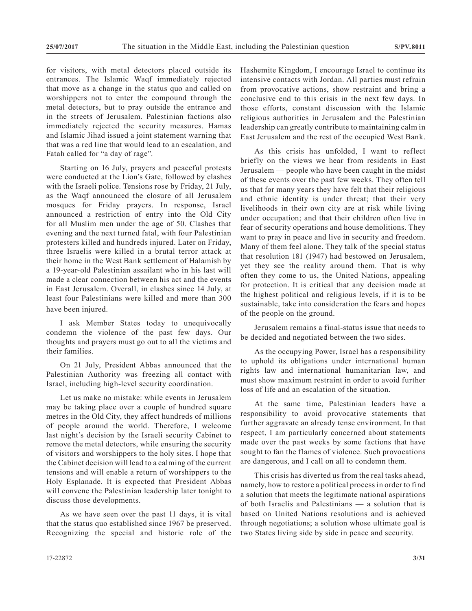for visitors, with metal detectors placed outside its entrances. The Islamic Waqf immediately rejected that move as a change in the status quo and called on worshippers not to enter the compound through the metal detectors, but to pray outside the entrance and in the streets of Jerusalem. Palestinian factions also immediately rejected the security measures. Hamas and Islamic Jihad issued a joint statement warning that that was a red line that would lead to an escalation, and Fatah called for "a day of rage".

Starting on 16 July, prayers and peaceful protests were conducted at the Lion's Gate, followed by clashes with the Israeli police. Tensions rose by Friday, 21 July, as the Waqf announced the closure of all Jerusalem mosques for Friday prayers. In response, Israel announced a restriction of entry into the Old City for all Muslim men under the age of 50. Clashes that evening and the next turned fatal, with four Palestinian protesters killed and hundreds injured. Later on Friday, three Israelis were killed in a brutal terror attack at their home in the West Bank settlement of Halamish by a 19-year-old Palestinian assailant who in his last will made a clear connection between his act and the events in East Jerusalem. Overall, in clashes since 14 July, at least four Palestinians were killed and more than 300 have been injured.

I ask Member States today to unequivocally condemn the violence of the past few days. Our thoughts and prayers must go out to all the victims and their families.

On 21 July, President Abbas announced that the Palestinian Authority was freezing all contact with Israel, including high-level security coordination.

Let us make no mistake: while events in Jerusalem may be taking place over a couple of hundred square metres in the Old City, they affect hundreds of millions of people around the world. Therefore, I welcome last night's decision by the Israeli security Cabinet to remove the metal detectors, while ensuring the security of visitors and worshippers to the holy sites. I hope that the Cabinet decision will lead to a calming of the current tensions and will enable a return of worshippers to the Holy Esplanade. It is expected that President Abbas will convene the Palestinian leadership later tonight to discuss those developments.

As we have seen over the past 11 days, it is vital that the status quo established since 1967 be preserved. Recognizing the special and historic role of the Hashemite Kingdom, I encourage Israel to continue its intensive contacts with Jordan. All parties must refrain from provocative actions, show restraint and bring a conclusive end to this crisis in the next few days. In those efforts, constant discussion with the Islamic religious authorities in Jerusalem and the Palestinian leadership can greatly contribute to maintaining calm in East Jerusalem and the rest of the occupied West Bank.

As this crisis has unfolded, I want to reflect briefly on the views we hear from residents in East Jerusalem — people who have been caught in the midst of these events over the past few weeks. They often tell us that for many years they have felt that their religious and ethnic identity is under threat; that their very livelihoods in their own city are at risk while living under occupation; and that their children often live in fear of security operations and house demolitions. They want to pray in peace and live in security and freedom. Many of them feel alone. They talk of the special status that resolution 181 (1947) had bestowed on Jerusalem, yet they see the reality around them. That is why often they come to us, the United Nations, appealing for protection. It is critical that any decision made at the highest political and religious levels, if it is to be sustainable, take into consideration the fears and hopes of the people on the ground.

Jerusalem remains a final-status issue that needs to be decided and negotiated between the two sides.

As the occupying Power, Israel has a responsibility to uphold its obligations under international human rights law and international humanitarian law, and must show maximum restraint in order to avoid further loss of life and an escalation of the situation.

At the same time, Palestinian leaders have a responsibility to avoid provocative statements that further aggravate an already tense environment. In that respect, I am particularly concerned about statements made over the past weeks by some factions that have sought to fan the flames of violence. Such provocations are dangerous, and I call on all to condemn them.

This crisis has diverted us from the real tasks ahead, namely, how to restore a political process in order to find a solution that meets the legitimate national aspirations of both Israelis and Palestinians — a solution that is based on United Nations resolutions and is achieved through negotiations; a solution whose ultimate goal is two States living side by side in peace and security.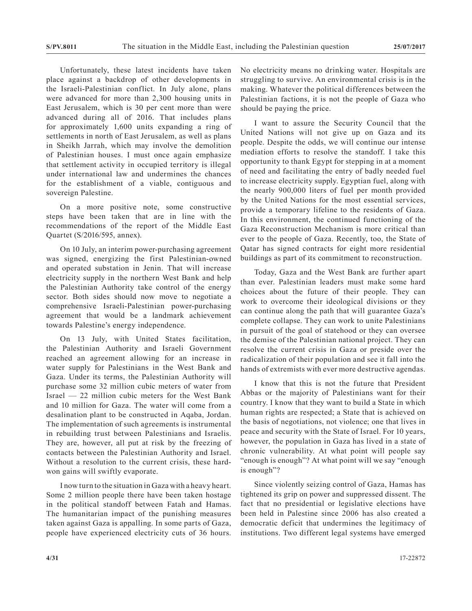Unfortunately, these latest incidents have taken place against a backdrop of other developments in the Israeli-Palestinian conflict. In July alone, plans were advanced for more than 2,300 housing units in East Jerusalem, which is 30 per cent more than were advanced during all of 2016. That includes plans for approximately 1,600 units expanding a ring of settlements in north of East Jerusalem, as well as plans in Sheikh Jarrah, which may involve the demolition of Palestinian houses. I must once again emphasize that settlement activity in occupied territory is illegal under international law and undermines the chances for the establishment of a viable, contiguous and sovereign Palestine.

On a more positive note, some constructive steps have been taken that are in line with the recommendations of the report of the Middle East Quartet (S/2016/595, annex).

On 10 July, an interim power-purchasing agreement was signed, energizing the first Palestinian-owned and operated substation in Jenin. That will increase electricity supply in the northern West Bank and help the Palestinian Authority take control of the energy sector. Both sides should now move to negotiate a comprehensive Israeli-Palestinian power-purchasing agreement that would be a landmark achievement towards Palestine's energy independence.

On 13 July, with United States facilitation, the Palestinian Authority and Israeli Government reached an agreement allowing for an increase in water supply for Palestinians in the West Bank and Gaza. Under its terms, the Palestinian Authority will purchase some 32 million cubic meters of water from Israel — 22 million cubic meters for the West Bank and 10 million for Gaza. The water will come from a desalination plant to be constructed in Aqaba, Jordan. The implementation of such agreements is instrumental in rebuilding trust between Palestinians and Israelis. They are, however, all put at risk by the freezing of contacts between the Palestinian Authority and Israel. Without a resolution to the current crisis, these hardwon gains will swiftly evaporate.

I now turn to the situation in Gaza with a heavy heart. Some 2 million people there have been taken hostage in the political standoff between Fatah and Hamas. The humanitarian impact of the punishing measures taken against Gaza is appalling. In some parts of Gaza, people have experienced electricity cuts of 36 hours.

No electricity means no drinking water. Hospitals are struggling to survive. An environmental crisis is in the making. Whatever the political differences between the Palestinian factions, it is not the people of Gaza who should be paying the price.

I want to assure the Security Council that the United Nations will not give up on Gaza and its people. Despite the odds, we will continue our intense mediation efforts to resolve the standoff. I take this opportunity to thank Egypt for stepping in at a moment of need and facilitating the entry of badly needed fuel to increase electricity supply. Egyptian fuel, along with the nearly 900,000 liters of fuel per month provided by the United Nations for the most essential services, provide a temporary lifeline to the residents of Gaza. In this environment, the continued functioning of the Gaza Reconstruction Mechanism is more critical than ever to the people of Gaza. Recently, too, the State of Qatar has signed contracts for eight more residential buildings as part of its commitment to reconstruction.

Today, Gaza and the West Bank are further apart than ever. Palestinian leaders must make some hard choices about the future of their people. They can work to overcome their ideological divisions or they can continue along the path that will guarantee Gaza's complete collapse. They can work to unite Palestinians in pursuit of the goal of statehood or they can oversee the demise of the Palestinian national project. They can resolve the current crisis in Gaza or preside over the radicalization of their population and see it fall into the hands of extremists with ever more destructive agendas.

I know that this is not the future that President Abbas or the majority of Palestinians want for their country. I know that they want to build a State in which human rights are respected; a State that is achieved on the basis of negotiations, not violence; one that lives in peace and security with the State of Israel. For 10 years, however, the population in Gaza has lived in a state of chronic vulnerability. At what point will people say "enough is enough"? At what point will we say "enough is enough"?

Since violently seizing control of Gaza, Hamas has tightened its grip on power and suppressed dissent. The fact that no presidential or legislative elections have been held in Palestine since 2006 has also created a democratic deficit that undermines the legitimacy of institutions. Two different legal systems have emerged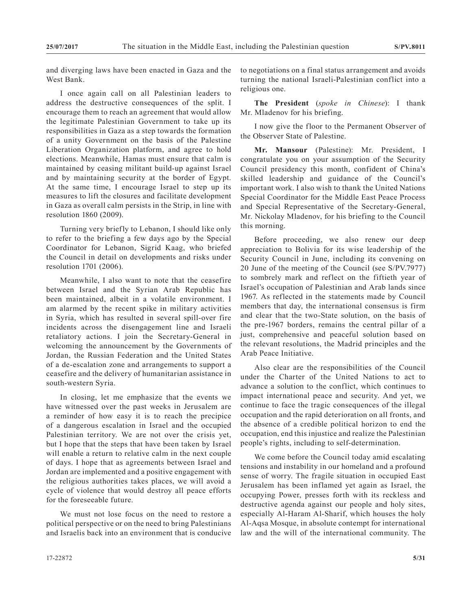and diverging laws have been enacted in Gaza and the West Bank.

I once again call on all Palestinian leaders to address the destructive consequences of the split. I encourage them to reach an agreement that would allow the legitimate Palestinian Government to take up its responsibilities in Gaza as a step towards the formation of a unity Government on the basis of the Palestine Liberation Organization platform, and agree to hold elections. Meanwhile, Hamas must ensure that calm is maintained by ceasing militant build-up against Israel and by maintaining security at the border of Egypt. At the same time, I encourage Israel to step up its measures to lift the closures and facilitate development in Gaza as overall calm persists in the Strip, in line with resolution 1860 (2009).

Turning very briefly to Lebanon, I should like only to refer to the briefing a few days ago by the Special Coordinator for Lebanon, Sigrid Kaag, who briefed the Council in detail on developments and risks under resolution 1701 (2006).

Meanwhile, I also want to note that the ceasefire between Israel and the Syrian Arab Republic has been maintained, albeit in a volatile environment. I am alarmed by the recent spike in military activities in Syria, which has resulted in several spill-over fire incidents across the disengagement line and Israeli retaliatory actions. I join the Secretary-General in welcoming the announcement by the Governments of Jordan, the Russian Federation and the United States of a de-escalation zone and arrangements to support a ceasefire and the delivery of humanitarian assistance in south-western Syria.

In closing, let me emphasize that the events we have witnessed over the past weeks in Jerusalem are a reminder of how easy it is to reach the precipice of a dangerous escalation in Israel and the occupied Palestinian territory. We are not over the crisis yet, but I hope that the steps that have been taken by Israel will enable a return to relative calm in the next couple of days. I hope that as agreements between Israel and Jordan are implemented and a positive engagement with the religious authorities takes places, we will avoid a cycle of violence that would destroy all peace efforts for the foreseeable future.

We must not lose focus on the need to restore a political perspective or on the need to bring Palestinians and Israelis back into an environment that is conducive

**The President** (*spoke in Chinese*): I thank Mr. Mladenov for his briefing.

I now give the floor to the Permanent Observer of the Observer State of Palestine.

**Mr. Mansour** (Palestine): Mr. President, I congratulate you on your assumption of the Security Council presidency this month, confident of China's skilled leadership and guidance of the Council's important work. I also wish to thank the United Nations Special Coordinator for the Middle East Peace Process and Special Representative of the Secretary-General, Mr. Nickolay Mladenov, for his briefing to the Council this morning.

Before proceeding, we also renew our deep appreciation to Bolivia for its wise leadership of the Security Council in June, including its convening on 20 June of the meeting of the Council (see S/PV.7977) to sombrely mark and reflect on the fiftieth year of Israel's occupation of Palestinian and Arab lands since 1967. As reflected in the statements made by Council members that day, the international consensus is firm and clear that the two-State solution, on the basis of the pre-1967 borders, remains the central pillar of a just, comprehensive and peaceful solution based on the relevant resolutions, the Madrid principles and the Arab Peace Initiative.

Also clear are the responsibilities of the Council under the Charter of the United Nations to act to advance a solution to the conflict, which continues to impact international peace and security. And yet, we continue to face the tragic consequences of the illegal occupation and the rapid deterioration on all fronts, and the absence of a credible political horizon to end the occupation, end this injustice and realize the Palestinian people's rights, including to self-determination.

We come before the Council today amid escalating tensions and instability in our homeland and a profound sense of worry. The fragile situation in occupied East Jerusalem has been inflamed yet again as Israel, the occupying Power, presses forth with its reckless and destructive agenda against our people and holy sites, especially Al-Haram Al-Sharif, which houses the holy Al-Aqsa Mosque, in absolute contempt for international law and the will of the international community. The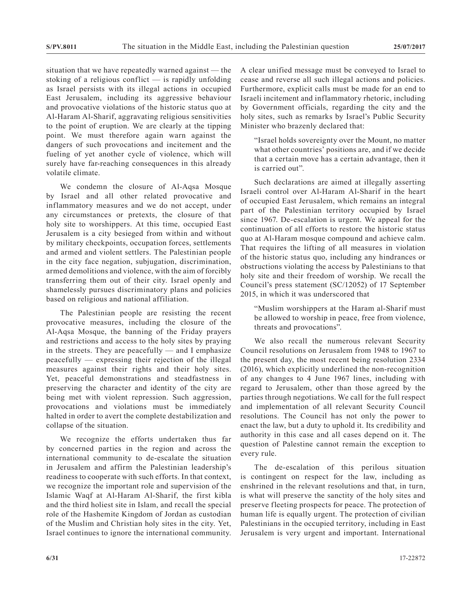situation that we have repeatedly warned against — the stoking of a religious conflict — is rapidly unfolding as Israel persists with its illegal actions in occupied East Jerusalem, including its aggressive behaviour and provocative violations of the historic status quo at Al-Haram Al-Sharif, aggravating religious sensitivities to the point of eruption. We are clearly at the tipping point. We must therefore again warn against the dangers of such provocations and incitement and the fueling of yet another cycle of violence, which will surely have far-reaching consequences in this already volatile climate.

We condemn the closure of Al-Aqsa Mosque by Israel and all other related provocative and inflammatory measures and we do not accept, under any circumstances or pretexts, the closure of that holy site to worshippers. At this time, occupied East Jerusalem is a city besieged from within and without by military checkpoints, occupation forces, settlements and armed and violent settlers. The Palestinian people in the city face negation, subjugation, discrimination, armed demolitions and violence, with the aim of forcibly transferring them out of their city. Israel openly and shamelessly pursues discriminatory plans and policies based on religious and national affiliation.

The Palestinian people are resisting the recent provocative measures, including the closure of the Al-Aqsa Mosque, the banning of the Friday prayers and restrictions and access to the holy sites by praying in the streets. They are peacefully — and I emphasize peacefully — expressing their rejection of the illegal measures against their rights and their holy sites. Yet, peaceful demonstrations and steadfastness in preserving the character and identity of the city are being met with violent repression. Such aggression, provocations and violations must be immediately halted in order to avert the complete destabilization and collapse of the situation.

We recognize the efforts undertaken thus far by concerned parties in the region and across the international community to de-escalate the situation in Jerusalem and affirm the Palestinian leadership's readiness to cooperate with such efforts. In that context, we recognize the important role and supervision of the Islamic Waqf at Al-Haram Al-Sharif, the first kibla and the third holiest site in Islam, and recall the special role of the Hashemite Kingdom of Jordan as custodian of the Muslim and Christian holy sites in the city. Yet, Israel continues to ignore the international community. A clear unified message must be conveyed to Israel to cease and reverse all such illegal actions and policies. Furthermore, explicit calls must be made for an end to Israeli incitement and inflammatory rhetoric, including by Government officials, regarding the city and the holy sites, such as remarks by Israel's Public Security Minister who brazenly declared that:

"Israel holds sovereignty over the Mount, no matter what other countries' positions are, and if we decide that a certain move has a certain advantage, then it is carried out".

Such declarations are aimed at illegally asserting Israeli control over Al-Haram Al-Sharif in the heart of occupied East Jerusalem, which remains an integral part of the Palestinian territory occupied by Israel since 1967. De-escalation is urgent. We appeal for the continuation of all efforts to restore the historic status quo at Al-Haram mosque compound and achieve calm. That requires the lifting of all measures in violation of the historic status quo, including any hindrances or obstructions violating the access by Palestinians to that holy site and their freedom of worship. We recall the Council's press statement (SC/12052) of 17 September 2015, in which it was underscored that

"Muslim worshippers at the Haram al-Sharif must be allowed to worship in peace, free from violence, threats and provocations".

We also recall the numerous relevant Security Council resolutions on Jerusalem from 1948 to 1967 to the present day, the most recent being resolution 2334 (2016), which explicitly underlined the non-recognition of any changes to 4 June 1967 lines, including with regard to Jerusalem, other than those agreed by the parties through negotiations. We call for the full respect and implementation of all relevant Security Council resolutions. The Council has not only the power to enact the law, but a duty to uphold it. Its credibility and authority in this case and all cases depend on it. The question of Palestine cannot remain the exception to every rule.

The de-escalation of this perilous situation is contingent on respect for the law, including as enshrined in the relevant resolutions and that, in turn, is what will preserve the sanctity of the holy sites and preserve fleeting prospects for peace. The protection of human life is equally urgent. The protection of civilian Palestinians in the occupied territory, including in East Jerusalem is very urgent and important. International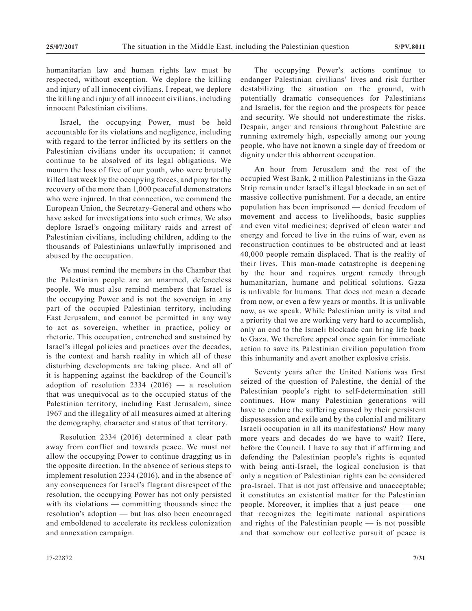humanitarian law and human rights law must be respected, without exception. We deplore the killing and injury of all innocent civilians. I repeat, we deplore the killing and injury of all innocent civilians, including innocent Palestinian civilians.

Israel, the occupying Power, must be held accountable for its violations and negligence, including with regard to the terror inflicted by its settlers on the Palestinian civilians under its occupation; it cannot continue to be absolved of its legal obligations. We mourn the loss of five of our youth, who were brutally killed last week by the occupying forces, and pray for the recovery of the more than 1,000 peaceful demonstrators who were injured. In that connection, we commend the European Union, the Secretary-General and others who have asked for investigations into such crimes. We also deplore Israel's ongoing military raids and arrest of Palestinian civilians, including children, adding to the thousands of Palestinians unlawfully imprisoned and abused by the occupation.

We must remind the members in the Chamber that the Palestinian people are an unarmed, defenceless people. We must also remind members that Israel is the occupying Power and is not the sovereign in any part of the occupied Palestinian territory, including East Jerusalem, and cannot be permitted in any way to act as sovereign, whether in practice, policy or rhetoric. This occupation, entrenched and sustained by Israel's illegal policies and practices over the decades, is the context and harsh reality in which all of these disturbing developments are taking place. And all of it is happening against the backdrop of the Council's adoption of resolution  $2334$   $(2016)$  — a resolution that was unequivocal as to the occupied status of the Palestinian territory, including East Jerusalem, since 1967 and the illegality of all measures aimed at altering the demography, character and status of that territory.

Resolution 2334 (2016) determined a clear path away from conflict and towards peace. We must not allow the occupying Power to continue dragging us in the opposite direction. In the absence of serious steps to implement resolution 2334 (2016), and in the absence of any consequences for Israel's flagrant disrespect of the resolution, the occupying Power has not only persisted with its violations — committing thousands since the resolution's adoption — but has also been encouraged and emboldened to accelerate its reckless colonization and annexation campaign.

The occupying Power's actions continue to endanger Palestinian civilians' lives and risk further destabilizing the situation on the ground, with potentially dramatic consequences for Palestinians and Israelis, for the region and the prospects for peace and security. We should not underestimate the risks. Despair, anger and tensions throughout Palestine are running extremely high, especially among our young people, who have not known a single day of freedom or dignity under this abhorrent occupation.

An hour from Jerusalem and the rest of the occupied West Bank, 2 million Palestinians in the Gaza Strip remain under Israel's illegal blockade in an act of massive collective punishment. For a decade, an entire population has been imprisoned — denied freedom of movement and access to livelihoods, basic supplies and even vital medicines; deprived of clean water and energy and forced to live in the ruins of war, even as reconstruction continues to be obstructed and at least 40,000 people remain displaced. That is the reality of their lives. This man-made catastrophe is deepening by the hour and requires urgent remedy through humanitarian, humane and political solutions. Gaza is unlivable for humans. That does not mean a decade from now, or even a few years or months. It is unlivable now, as we speak. While Palestinian unity is vital and a priority that we are working very hard to accomplish, only an end to the Israeli blockade can bring life back to Gaza. We therefore appeal once again for immediate action to save its Palestinian civilian population from this inhumanity and avert another explosive crisis.

Seventy years after the United Nations was first seized of the question of Palestine, the denial of the Palestinian people's right to self-determination still continues. How many Palestinian generations will have to endure the suffering caused by their persistent dispossession and exile and by the colonial and military Israeli occupation in all its manifestations? How many more years and decades do we have to wait? Here, before the Council, I have to say that if affirming and defending the Palestinian people's rights is equated with being anti-Israel, the logical conclusion is that only a negation of Palestinian rights can be considered pro-Israel. That is not just offensive and unacceptable; it constitutes an existential matter for the Palestinian people. Moreover, it implies that a just peace — one that recognizes the legitimate national aspirations and rights of the Palestinian people — is not possible and that somehow our collective pursuit of peace is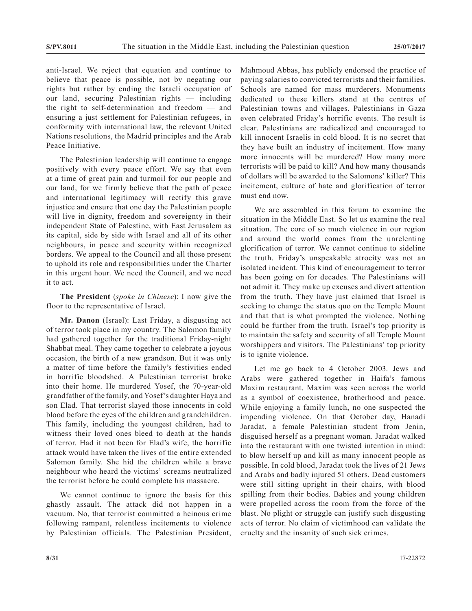anti-Israel. We reject that equation and continue to believe that peace is possible, not by negating our rights but rather by ending the Israeli occupation of our land, securing Palestinian rights — including the right to self-determination and freedom — and ensuring a just settlement for Palestinian refugees, in conformity with international law, the relevant United Nations resolutions, the Madrid principles and the Arab Peace Initiative.

The Palestinian leadership will continue to engage positively with every peace effort. We say that even at a time of great pain and turmoil for our people and our land, for we firmly believe that the path of peace and international legitimacy will rectify this grave injustice and ensure that one day the Palestinian people will live in dignity, freedom and sovereignty in their independent State of Palestine, with East Jerusalem as its capital, side by side with Israel and all of its other neighbours, in peace and security within recognized borders. We appeal to the Council and all those present to uphold its role and responsibilities under the Charter in this urgent hour. We need the Council, and we need it to act.

**The President** (*spoke in Chinese*): I now give the floor to the representative of Israel.

**Mr. Danon** (Israel): Last Friday, a disgusting act of terror took place in my country. The Salomon family had gathered together for the traditional Friday-night Shabbat meal. They came together to celebrate a joyous occasion, the birth of a new grandson. But it was only a matter of time before the family's festivities ended in horrific bloodshed. A Palestinian terrorist broke into their home. He murdered Yosef, the 70-year-old grandfather of the family, and Yosef's daughter Haya and son Elad. That terrorist slayed those innocents in cold blood before the eyes of the children and grandchildren. This family, including the youngest children, had to witness their loved ones bleed to death at the hands of terror. Had it not been for Elad's wife, the horrific attack would have taken the lives of the entire extended Salomon family. She hid the children while a brave neighbour who heard the victims' screams neutralized the terrorist before he could complete his massacre.

We cannot continue to ignore the basis for this ghastly assault. The attack did not happen in a vacuum. No, that terrorist committed a heinous crime following rampant, relentless incitements to violence by Palestinian officials. The Palestinian President, Mahmoud Abbas, has publicly endorsed the practice of paying salaries to convicted terrorists and their families. Schools are named for mass murderers. Monuments dedicated to these killers stand at the centres of Palestinian towns and villages. Palestinians in Gaza even celebrated Friday's horrific events. The result is clear. Palestinians are radicalized and encouraged to kill innocent Israelis in cold blood. It is no secret that they have built an industry of incitement. How many more innocents will be murdered? How many more terrorists will be paid to kill? And how many thousands of dollars will be awarded to the Salomons' killer? This incitement, culture of hate and glorification of terror must end now.

We are assembled in this forum to examine the situation in the Middle East. So let us examine the real situation. The core of so much violence in our region and around the world comes from the unrelenting glorification of terror. We cannot continue to sideline the truth. Friday's unspeakable atrocity was not an isolated incident. This kind of encouragement to terror has been going on for decades. The Palestinians will not admit it. They make up excuses and divert attention from the truth. They have just claimed that Israel is seeking to change the status quo on the Temple Mount and that that is what prompted the violence. Nothing could be further from the truth. Israel's top priority is to maintain the safety and security of all Temple Mount worshippers and visitors. The Palestinians' top priority is to ignite violence.

Let me go back to 4 October 2003. Jews and Arabs were gathered together in Haifa's famous Maxim restaurant. Maxim was seen across the world as a symbol of coexistence, brotherhood and peace. While enjoying a family lunch, no one suspected the impending violence. On that October day, Hanadi Jaradat, a female Palestinian student from Jenin, disguised herself as a pregnant woman. Jaradat walked into the restaurant with one twisted intention in mind: to blow herself up and kill as many innocent people as possible. In cold blood, Jaradat took the lives of 21 Jews and Arabs and badly injured 51 others. Dead customers were still sitting upright in their chairs, with blood spilling from their bodies. Babies and young children were propelled across the room from the force of the blast. No plight or struggle can justify such disgusting acts of terror. No claim of victimhood can validate the cruelty and the insanity of such sick crimes.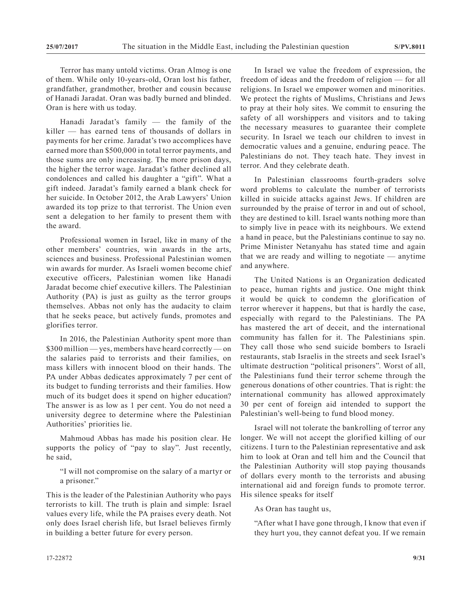Terror has many untold victims. Oran Almog is one of them. While only 10-years-old, Oran lost his father, grandfather, grandmother, brother and cousin because of Hanadi Jaradat. Oran was badly burned and blinded. Oran is here with us today.

Hanadi Jaradat's family — the family of the killer — has earned tens of thousands of dollars in payments for her crime. Jaradat's two accomplices have earned more than \$500,000 in total terror payments, and those sums are only increasing. The more prison days, the higher the terror wage. Jaradat's father declined all condolences and called his daughter a "gift". What a gift indeed. Jaradat's family earned a blank check for her suicide. In October 2012, the Arab Lawyers' Union awarded its top prize to that terrorist. The Union even sent a delegation to her family to present them with the award.

Professional women in Israel, like in many of the other members' countries, win awards in the arts, sciences and business. Professional Palestinian women win awards for murder. As Israeli women become chief executive officers, Palestinian women like Hanadi Jaradat become chief executive killers. The Palestinian Authority (PA) is just as guilty as the terror groups themselves. Abbas not only has the audacity to claim that he seeks peace, but actively funds, promotes and glorifies terror.

In 2016, the Palestinian Authority spent more than \$300 million — yes, members have heard correctly — on the salaries paid to terrorists and their families, on mass killers with innocent blood on their hands. The PA under Abbas dedicates approximately 7 per cent of its budget to funding terrorists and their families. How much of its budget does it spend on higher education? The answer is as low as 1 per cent. You do not need a university degree to determine where the Palestinian Authorities' priorities lie.

Mahmoud Abbas has made his position clear. He supports the policy of "pay to slay". Just recently, he said,

"I will not compromise on the salary of a martyr or a prisoner."

This is the leader of the Palestinian Authority who pays terrorists to kill. The truth is plain and simple: Israel values every life, while the PA praises every death. Not only does Israel cherish life, but Israel believes firmly in building a better future for every person.

In Israel we value the freedom of expression, the freedom of ideas and the freedom of religion — for all religions. In Israel we empower women and minorities. We protect the rights of Muslims, Christians and Jews to pray at their holy sites. We commit to ensuring the safety of all worshippers and visitors and to taking the necessary measures to guarantee their complete security. In Israel we teach our children to invest in democratic values and a genuine, enduring peace. The Palestinians do not. They teach hate. They invest in terror. And they celebrate death.

In Palestinian classrooms fourth-graders solve word problems to calculate the number of terrorists killed in suicide attacks against Jews. If children are surrounded by the praise of terror in and out of school, they are destined to kill. Israel wants nothing more than to simply live in peace with its neighbours. We extend a hand in peace, but the Palestinians continue to say no. Prime Minister Netanyahu has stated time and again that we are ready and willing to negotiate — anytime and anywhere.

The United Nations is an Organization dedicated to peace, human rights and justice. One might think it would be quick to condemn the glorification of terror wherever it happens, but that is hardly the case, especially with regard to the Palestinians. The PA has mastered the art of deceit, and the international community has fallen for it. The Palestinians spin. They call those who send suicide bombers to Israeli restaurants, stab Israelis in the streets and seek Israel's ultimate destruction "political prisoners". Worst of all, the Palestinians fund their terror scheme through the generous donations of other countries. That is right: the international community has allowed approximately 30 per cent of foreign aid intended to support the Palestinian's well-being to fund blood money.

Israel will not tolerate the bankrolling of terror any longer. We will not accept the glorified killing of our citizens. I turn to the Palestinian representative and ask him to look at Oran and tell him and the Council that the Palestinian Authority will stop paying thousands of dollars every month to the terrorists and abusing international aid and foreign funds to promote terror. His silence speaks for itself

As Oran has taught us,

"After what I have gone through, I know that even if they hurt you, they cannot defeat you. If we remain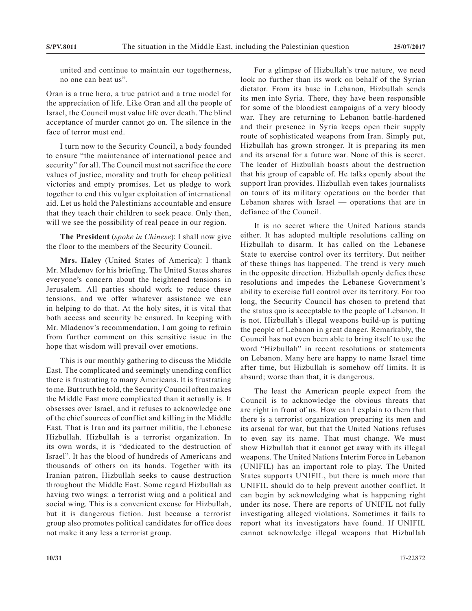united and continue to maintain our togetherness, no one can beat us".

Oran is a true hero, a true patriot and a true model for the appreciation of life. Like Oran and all the people of Israel, the Council must value life over death. The blind acceptance of murder cannot go on. The silence in the face of terror must end.

I turn now to the Security Council, a body founded to ensure "the maintenance of international peace and security" for all. The Council must not sacrifice the core values of justice, morality and truth for cheap political victories and empty promises. Let us pledge to work together to end this vulgar exploitation of international aid. Let us hold the Palestinians accountable and ensure that they teach their children to seek peace. Only then, will we see the possibility of real peace in our region.

**The President** (*spoke in Chinese*): I shall now give the floor to the members of the Security Council.

**Mrs. Haley** (United States of America): I thank Mr. Mladenov for his briefing. The United States shares everyone's concern about the heightened tensions in Jerusalem. All parties should work to reduce these tensions, and we offer whatever assistance we can in helping to do that. At the holy sites, it is vital that both access and security be ensured. In keeping with Mr. Mladenov's recommendation, I am going to refrain from further comment on this sensitive issue in the hope that wisdom will prevail over emotions.

This is our monthly gathering to discuss the Middle East. The complicated and seemingly unending conflict there is frustrating to many Americans. It is frustrating to me. But truth be told, the Security Council often makes the Middle East more complicated than it actually is. It obsesses over Israel, and it refuses to acknowledge one of the chief sources of conflict and killing in the Middle East. That is Iran and its partner militia, the Lebanese Hizbullah. Hizbullah is a terrorist organization. In its own words, it is "dedicated to the destruction of Israel". It has the blood of hundreds of Americans and thousands of others on its hands. Together with its Iranian patron, Hizbullah seeks to cause destruction throughout the Middle East. Some regard Hizbullah as having two wings: a terrorist wing and a political and social wing. This is a convenient excuse for Hizbullah, but it is dangerous fiction. Just because a terrorist group also promotes political candidates for office does not make it any less a terrorist group.

For a glimpse of Hizbullah's true nature, we need look no further than its work on behalf of the Syrian dictator. From its base in Lebanon, Hizbullah sends its men into Syria. There, they have been responsible for some of the bloodiest campaigns of a very bloody war. They are returning to Lebanon battle-hardened and their presence in Syria keeps open their supply route of sophisticated weapons from Iran. Simply put, Hizbullah has grown stronger. It is preparing its men and its arsenal for a future war. None of this is secret. The leader of Hizbullah boasts about the destruction that his group of capable of. He talks openly about the support Iran provides. Hizbullah even takes journalists on tours of its military operations on the border that Lebanon shares with Israel — operations that are in defiance of the Council.

It is no secret where the United Nations stands either. It has adopted multiple resolutions calling on Hizbullah to disarm. It has called on the Lebanese State to exercise control over its territory. But neither of these things has happened. The trend is very much in the opposite direction. Hizbullah openly defies these resolutions and impedes the Lebanese Government's ability to exercise full control over its territory. For too long, the Security Council has chosen to pretend that the status quo is acceptable to the people of Lebanon. It is not. Hizbullah's illegal weapons build-up is putting the people of Lebanon in great danger. Remarkably, the Council has not even been able to bring itself to use the word "Hizbullah" in recent resolutions or statements on Lebanon. Many here are happy to name Israel time after time, but Hizbullah is somehow off limits. It is absurd; worse than that, it is dangerous.

The least the American people expect from the Council is to acknowledge the obvious threats that are right in front of us. How can I explain to them that there is a terrorist organization preparing its men and its arsenal for war, but that the United Nations refuses to even say its name. That must change. We must show Hizbullah that it cannot get away with its illegal weapons. The United Nations Interim Force in Lebanon (UNIFIL) has an important role to play. The United States supports UNIFIL, but there is much more that UNIFIL should do to help prevent another conflict. It can begin by acknowledging what is happening right under its nose. There are reports of UNIFIL not fully investigating alleged violations. Sometimes it fails to report what its investigators have found. If UNIFIL cannot acknowledge illegal weapons that Hizbullah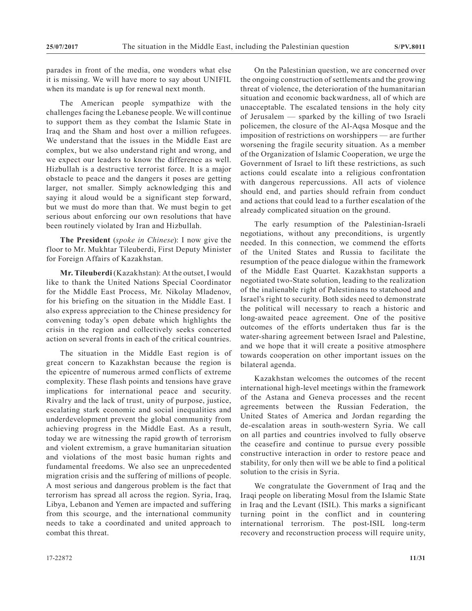parades in front of the media, one wonders what else it is missing. We will have more to say about UNIFIL when its mandate is up for renewal next month.

The American people sympathize with the challenges facing the Lebanese people. We will continue to support them as they combat the Islamic State in Iraq and the Sham and host over a million refugees. We understand that the issues in the Middle East are complex, but we also understand right and wrong, and we expect our leaders to know the difference as well. Hizbullah is a destructive terrorist force. It is a major obstacle to peace and the dangers it poses are getting larger, not smaller. Simply acknowledging this and saying it aloud would be a significant step forward, but we must do more than that. We must begin to get serious about enforcing our own resolutions that have been routinely violated by Iran and Hizbullah.

**The President** (*spoke in Chinese*): I now give the floor to Mr. Mukhtar Tileuberdi, First Deputy Minister for Foreign Affairs of Kazakhstan.

**Mr. Tileuberdi** (Kazakhstan): At the outset, I would like to thank the United Nations Special Coordinator for the Middle East Process, Mr. Nikolay Mladenov, for his briefing on the situation in the Middle East. I also express appreciation to the Chinese presidency for convening today's open debate which highlights the crisis in the region and collectively seeks concerted action on several fronts in each of the critical countries.

The situation in the Middle East region is of great concern to Kazakhstan because the region is the epicentre of numerous armed conflicts of extreme complexity. These flash points and tensions have grave implications for international peace and security. Rivalry and the lack of trust, unity of purpose, justice, escalating stark economic and social inequalities and underdevelopment prevent the global community from achieving progress in the Middle East. As a result, today we are witnessing the rapid growth of terrorism and violent extremism, a grave humanitarian situation and violations of the most basic human rights and fundamental freedoms. We also see an unprecedented migration crisis and the suffering of millions of people. A most serious and dangerous problem is the fact that terrorism has spread all across the region. Syria, Iraq, Libya, Lebanon and Yemen are impacted and suffering from this scourge, and the international community needs to take a coordinated and united approach to combat this threat.

On the Palestinian question, we are concerned over the ongoing construction of settlements and the growing threat of violence, the deterioration of the humanitarian situation and economic backwardness, all of which are unacceptable. The escalated tensions in the holy city of Jerusalem — sparked by the killing of two Israeli policemen, the closure of the Al-Aqsa Mosque and the imposition of restrictions on worshippers — are further worsening the fragile security situation. As a member of the Organization of Islamic Cooperation, we urge the Government of Israel to lift these restrictions, as such actions could escalate into a religious confrontation with dangerous repercussions. All acts of violence should end, and parties should refrain from conduct and actions that could lead to a further escalation of the already complicated situation on the ground.

The early resumption of the Palestinian-Israeli negotiations, without any preconditions, is urgently needed. In this connection, we commend the efforts of the United States and Russia to facilitate the resumption of the peace dialogue within the framework of the Middle East Quartet. Kazakhstan supports a negotiated two-State solution, leading to the realization of the inalienable right of Palestinians to statehood and Israel's right to security. Both sides need to demonstrate the political will necessary to reach a historic and long-awaited peace agreement. One of the positive outcomes of the efforts undertaken thus far is the water-sharing agreement between Israel and Palestine, and we hope that it will create a positive atmosphere towards cooperation on other important issues on the bilateral agenda.

Kazakhstan welcomes the outcomes of the recent international high-level meetings within the framework of the Astana and Geneva processes and the recent agreements between the Russian Federation, the United States of America and Jordan regarding the de-escalation areas in south-western Syria. We call on all parties and countries involved to fully observe the ceasefire and continue to pursue every possible constructive interaction in order to restore peace and stability, for only then will we be able to find a political solution to the crisis in Syria.

We congratulate the Government of Iraq and the Iraqi people on liberating Mosul from the Islamic State in Iraq and the Levant (ISIL). This marks a significant turning point in the conflict and in countering international terrorism. The post-ISIL long-term recovery and reconstruction process will require unity,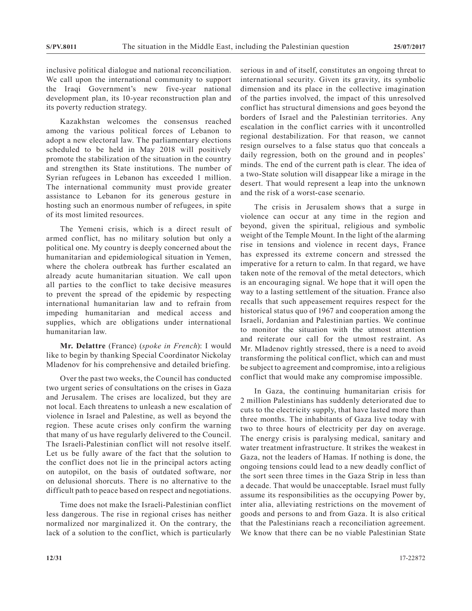inclusive political dialogue and national reconciliation. We call upon the international community to support the Iraqi Government's new five-year national development plan, its 10-year reconstruction plan and its poverty reduction strategy.

Kazakhstan welcomes the consensus reached among the various political forces of Lebanon to adopt a new electoral law. The parliamentary elections scheduled to be held in May 2018 will positively promote the stabilization of the situation in the country and strengthen its State institutions. The number of Syrian refugees in Lebanon has exceeded 1 million. The international community must provide greater assistance to Lebanon for its generous gesture in hosting such an enormous number of refugees, in spite of its most limited resources.

The Yemeni crisis, which is a direct result of armed conflict, has no military solution but only a political one. My country is deeply concerned about the humanitarian and epidemiological situation in Yemen, where the cholera outbreak has further escalated an already acute humanitarian situation. We call upon all parties to the conflict to take decisive measures to prevent the spread of the epidemic by respecting international humanitarian law and to refrain from impeding humanitarian and medical access and supplies, which are obligations under international humanitarian law.

**Mr. Delattre** (France) (*spoke in French*): I would like to begin by thanking Special Coordinator Nickolay Mladenov for his comprehensive and detailed briefing.

Over the past two weeks, the Council has conducted two urgent series of consultations on the crises in Gaza and Jerusalem. The crises are localized, but they are not local. Each threatens to unleash a new escalation of violence in Israel and Palestine, as well as beyond the region. These acute crises only confirm the warning that many of us have regularly delivered to the Council. The Israeli-Palestinian conflict will not resolve itself. Let us be fully aware of the fact that the solution to the conflict does not lie in the principal actors acting on autopilot, on the basis of outdated software, nor on delusional shorcuts. There is no alternative to the difficult path to peace based on respect and negotiations.

Time does not make the Israeli-Palestinian conflict less dangerous. The rise in regional crises has neither normalized nor marginalized it. On the contrary, the lack of a solution to the conflict, which is particularly serious in and of itself, constitutes an ongoing threat to international security. Given its gravity, its symbolic dimension and its place in the collective imagination of the parties involved, the impact of this unresolved conflict has structural dimensions and goes beyond the borders of Israel and the Palestinian territories. Any escalation in the conflict carries with it uncontrolled regional destabilization. For that reason, we cannot resign ourselves to a false status quo that conceals a daily regression, both on the ground and in peoples' minds. The end of the current path is clear. The idea of a two-State solution will disappear like a mirage in the desert. That would represent a leap into the unknown and the risk of a worst-case scenario.

The crisis in Jerusalem shows that a surge in violence can occur at any time in the region and beyond, given the spiritual, religious and symbolic weight of the Temple Mount. In the light of the alarming rise in tensions and violence in recent days, France has expressed its extreme concern and stressed the imperative for a return to calm. In that regard, we have taken note of the removal of the metal detectors, which is an encouraging signal. We hope that it will open the way to a lasting settlement of the situation. France also recalls that such appeasement requires respect for the historical status quo of 1967 and cooperation among the Israeli, Jordanian and Palestinian parties. We continue to monitor the situation with the utmost attention and reiterate our call for the utmost restraint. As Mr. Mladenov rightly stressed, there is a need to avoid transforming the political conflict, which can and must be subject to agreement and compromise, into a religious conflict that would make any compromise impossible.

In Gaza, the continuing humanitarian crisis for 2 million Palestinians has suddenly deteriorated due to cuts to the electricity supply, that have lasted more than three months. The inhabitants of Gaza live today with two to three hours of electricity per day on average. The energy crisis is paralysing medical, sanitary and water treatment infrastructure. It strikes the weakest in Gaza, not the leaders of Hamas. If nothing is done, the ongoing tensions could lead to a new deadly conflict of the sort seen three times in the Gaza Strip in less than a decade. That would be unacceptable. Israel must fully assume its responsibilities as the occupying Power by, inter alia, alleviating restrictions on the movement of goods and persons to and from Gaza. It is also critical that the Palestinians reach a reconciliation agreement. We know that there can be no viable Palestinian State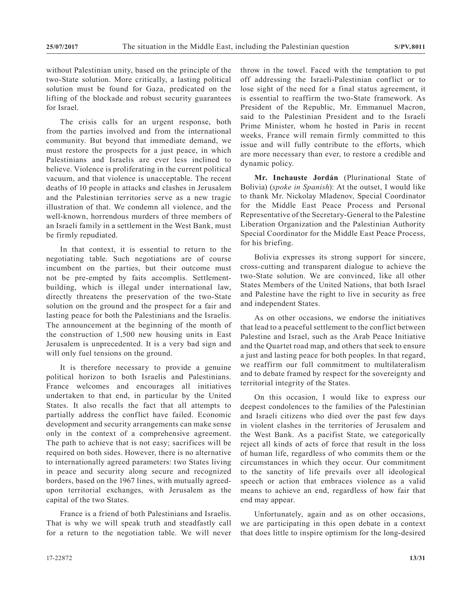without Palestinian unity, based on the principle of the two-State solution. More critically, a lasting political solution must be found for Gaza, predicated on the lifting of the blockade and robust security guarantees for Israel.

The crisis calls for an urgent response, both from the parties involved and from the international community. But beyond that immediate demand, we must restore the prospects for a just peace, in which Palestinians and Israelis are ever less inclined to believe. Violence is proliferating in the current political vacuum, and that violence is unacceptable. The recent deaths of 10 people in attacks and clashes in Jerusalem and the Palestinian territories serve as a new tragic illustration of that. We condemn all violence, and the well-known, horrendous murders of three members of an Israeli family in a settlement in the West Bank, must be firmly repudiated.

In that context, it is essential to return to the negotiating table. Such negotiations are of course incumbent on the parties, but their outcome must not be pre-empted by faits accomplis. Settlementbuilding, which is illegal under international law, directly threatens the preservation of the two-State solution on the ground and the prospect for a fair and lasting peace for both the Palestinians and the Israelis. The announcement at the beginning of the month of the construction of 1,500 new housing units in East Jerusalem is unprecedented. It is a very bad sign and will only fuel tensions on the ground.

It is therefore necessary to provide a genuine political horizon to both Israelis and Palestinians. France welcomes and encourages all initiatives undertaken to that end, in particular by the United States. It also recalls the fact that all attempts to partially address the conflict have failed. Economic development and security arrangements can make sense only in the context of a comprehensive agreement. The path to achieve that is not easy; sacrifices will be required on both sides. However, there is no alternative to internationally agreed parameters: two States living in peace and security along secure and recognized borders, based on the 1967 lines, with mutually agreedupon territorial exchanges, with Jerusalem as the capital of the two States.

France is a friend of both Palestinians and Israelis. That is why we will speak truth and steadfastly call for a return to the negotiation table. We will never throw in the towel. Faced with the temptation to put off addressing the Israeli-Palestinian conflict or to lose sight of the need for a final status agreement, it is essential to reaffirm the two-State framework. As President of the Republic, Mr. Emmanuel Macron, said to the Palestinian President and to the Israeli Prime Minister, whom he hosted in Paris in recent weeks, France will remain firmly committed to this issue and will fully contribute to the efforts, which are more necessary than ever, to restore a credible and dynamic policy.

**Mr. Inchauste Jordán** (Plurinational State of Bolivia) (*spoke in Spanish*): At the outset, I would like to thank Mr. Nickolay Mladenov, Special Coordinator for the Middle East Peace Process and Personal Representative of the Secretary-General to the Palestine Liberation Organization and the Palestinian Authority Special Coordinator for the Middle East Peace Process, for his briefing.

Bolivia expresses its strong support for sincere, cross-cutting and transparent dialogue to achieve the two-State solution. We are convinced, like all other States Members of the United Nations, that both Israel and Palestine have the right to live in security as free and independent States.

As on other occasions, we endorse the initiatives that lead to a peaceful settlement to the conflict between Palestine and Israel, such as the Arab Peace Initiative and the Quartet road map, and others that seek to ensure a just and lasting peace for both peoples. In that regard, we reaffirm our full commitment to multilateralism and to debate framed by respect for the sovereignty and territorial integrity of the States.

On this occasion, I would like to express our deepest condolences to the families of the Palestinian and Israeli citizens who died over the past few days in violent clashes in the territories of Jerusalem and the West Bank. As a pacifist State, we categorically reject all kinds of acts of force that result in the loss of human life, regardless of who commits them or the circumstances in which they occur. Our commitment to the sanctity of life prevails over all ideological speech or action that embraces violence as a valid means to achieve an end, regardless of how fair that end may appear.

Unfortunately, again and as on other occasions, we are participating in this open debate in a context that does little to inspire optimism for the long-desired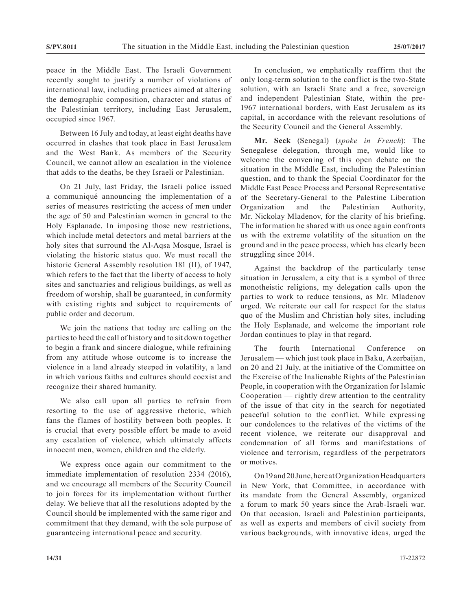peace in the Middle East. The Israeli Government recently sought to justify a number of violations of international law, including practices aimed at altering the demographic composition, character and status of the Palestinian territory, including East Jerusalem, occupied since 1967.

Between 16 July and today, at least eight deaths have occurred in clashes that took place in East Jerusalem and the West Bank. As members of the Security Council, we cannot allow an escalation in the violence that adds to the deaths, be they Israeli or Palestinian.

On 21 July, last Friday, the Israeli police issued a communiqué announcing the implementation of a series of measures restricting the access of men under the age of 50 and Palestinian women in general to the Holy Esplanade. In imposing those new restrictions, which include metal detectors and metal barriers at the holy sites that surround the Al-Aqsa Mosque, Israel is violating the historic status quo. We must recall the historic General Assembly resolution 181 (II), of 1947, which refers to the fact that the liberty of access to holy sites and sanctuaries and religious buildings, as well as freedom of worship, shall be guaranteed, in conformity with existing rights and subject to requirements of public order and decorum.

We join the nations that today are calling on the parties to heed the call of history and to sit down together to begin a frank and sincere dialogue, while refraining from any attitude whose outcome is to increase the violence in a land already steeped in volatility, a land in which various faiths and cultures should coexist and recognize their shared humanity.

We also call upon all parties to refrain from resorting to the use of aggressive rhetoric, which fans the flames of hostility between both peoples. It is crucial that every possible effort be made to avoid any escalation of violence, which ultimately affects innocent men, women, children and the elderly.

We express once again our commitment to the immediate implementation of resolution 2334 (2016), and we encourage all members of the Security Council to join forces for its implementation without further delay. We believe that all the resolutions adopted by the Council should be implemented with the same rigor and commitment that they demand, with the sole purpose of guaranteeing international peace and security.

In conclusion, we emphatically reaffirm that the only long-term solution to the conflict is the two-State solution, with an Israeli State and a free, sovereign and independent Palestinian State, within the pre-1967 international borders, with East Jerusalem as its capital, in accordance with the relevant resolutions of the Security Council and the General Assembly.

**Mr. Seck** (Senegal) (*spoke in French*): The Senegalese delegation, through me, would like to welcome the convening of this open debate on the situation in the Middle East, including the Palestinian question, and to thank the Special Coordinator for the Middle East Peace Process and Personal Representative of the Secretary-General to the Palestine Liberation Organization and the Palestinian Authority, Mr. Nickolay Mladenov, for the clarity of his briefing. The information he shared with us once again confronts us with the extreme volatility of the situation on the ground and in the peace process, which has clearly been struggling since 2014.

Against the backdrop of the particularly tense situation in Jerusalem, a city that is a symbol of three monotheistic religions, my delegation calls upon the parties to work to reduce tensions, as Mr. Mladenov urged. We reiterate our call for respect for the status quo of the Muslim and Christian holy sites, including the Holy Esplanade, and welcome the important role Jordan continues to play in that regard.

The fourth International Conference on Jerusalem — which just took place in Baku, Azerbaijan, on 20 and 21 July, at the initiative of the Committee on the Exercise of the Inalienable Rights of the Palestinian People, in cooperation with the Organization for Islamic Cooperation — rightly drew attention to the centrality of the issue of that city in the search for negotiated peaceful solution to the conflict. While expressing our condolences to the relatives of the victims of the recent violence, we reiterate our disapproval and condemnation of all forms and manifestations of violence and terrorism, regardless of the perpetrators or motives.

On 19 and 20 June, here at Organization Headquarters in New York, that Committee, in accordance with its mandate from the General Assembly, organized a forum to mark 50 years since the Arab-Israeli war. On that occasion, Israeli and Palestinian participants, as well as experts and members of civil society from various backgrounds, with innovative ideas, urged the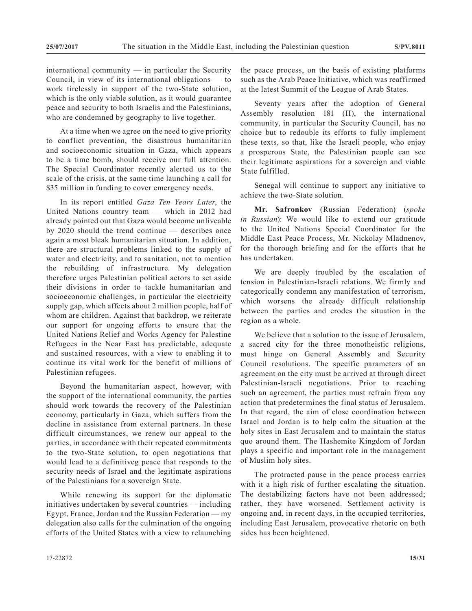international community — in particular the Security Council, in view of its international obligations — to work tirelessly in support of the two-State solution, which is the only viable solution, as it would guarantee peace and security to both Israelis and the Palestinians, who are condemned by geography to live together.

At a time when we agree on the need to give priority to conflict prevention, the disastrous humanitarian and socioeconomic situation in Gaza, which appears to be a time bomb, should receive our full attention. The Special Coordinator recently alerted us to the scale of the crisis, at the same time launching a call for \$35 million in funding to cover emergency needs.

In its report entitled *Gaza Ten Years Later*, the United Nations country team — which in 2012 had already pointed out that Gaza would become unliveable by 2020 should the trend continue — describes once again a most bleak humanitarian situation. In addition, there are structural problems linked to the supply of water and electricity, and to sanitation, not to mention the rebuilding of infrastructure. My delegation therefore urges Palestinian political actors to set aside their divisions in order to tackle humanitarian and socioeconomic challenges, in particular the electricity supply gap, which affects about 2 million people, half of whom are children. Against that backdrop, we reiterate our support for ongoing efforts to ensure that the United Nations Relief and Works Agency for Palestine Refugees in the Near East has predictable, adequate and sustained resources, with a view to enabling it to continue its vital work for the benefit of millions of Palestinian refugees.

Beyond the humanitarian aspect, however, with the support of the international community, the parties should work towards the recovery of the Palestinian economy, particularly in Gaza, which suffers from the decline in assistance from external partners. In these difficult circumstances, we renew our appeal to the parties, in accordance with their repeated commitments to the two-State solution, to open negotiations that would lead to a definitiveg peace that responds to the security needs of Israel and the legitimate aspirations of the Palestinians for a sovereign State.

While renewing its support for the diplomatic initiatives undertaken by several countries — including Egypt, France, Jordan and the Russian Federation — my delegation also calls for the culmination of the ongoing efforts of the United States with a view to relaunching the peace process, on the basis of existing platforms such as the Arab Peace Initiative, which was reaffirmed at the latest Summit of the League of Arab States.

Seventy years after the adoption of General Assembly resolution 181 (II), the international community, in particular the Security Council, has no choice but to redouble its efforts to fully implement these texts, so that, like the Israeli people, who enjoy a prosperous State, the Palestinian people can see their legitimate aspirations for a sovereign and viable State fulfilled.

Senegal will continue to support any initiative to achieve the two-State solution.

**Mr. Safronkov** (Russian Federation) (*spoke in Russian*): We would like to extend our gratitude to the United Nations Special Coordinator for the Middle East Peace Process, Mr. Nickolay Mladnenov, for the thorough briefing and for the efforts that he has undertaken.

We are deeply troubled by the escalation of tension in Palestinian-Israeli relations. We firmly and categorically condemn any manifestation of terrorism, which worsens the already difficult relationship between the parties and erodes the situation in the region as a whole.

We believe that a solution to the issue of Jerusalem, a sacred city for the three monotheistic religions, must hinge on General Assembly and Security Council resolutions. The specific parameters of an agreement on the city must be arrived at through direct Palestinian-Israeli negotiations. Prior to reaching such an agreement, the parties must refrain from any action that predetermines the final status of Jerusalem. In that regard, the aim of close coordination between Israel and Jordan is to help calm the situation at the holy sites in East Jerusalem and to maintain the status quo around them. The Hashemite Kingdom of Jordan plays a specific and important role in the management of Muslim holy sites.

The protracted pause in the peace process carries with it a high risk of further escalating the situation. The destabilizing factors have not been addressed; rather, they have worsened. Settlement activity is ongoing and, in recent days, in the occupied territories, including East Jerusalem, provocative rhetoric on both sides has been heightened.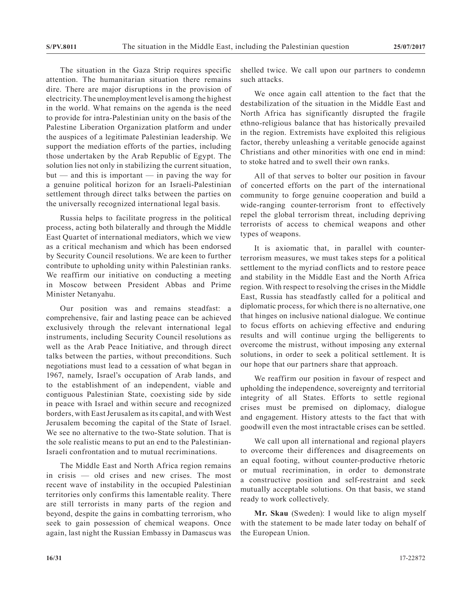The situation in the Gaza Strip requires specific attention. The humanitarian situation there remains dire. There are major disruptions in the provision of electricity. The unemployment level is among the highest in the world. What remains on the agenda is the need to provide for intra-Palestinian unity on the basis of the Palestine Liberation Organization platform and under the auspices of a legitimate Palestinian leadership. We support the mediation efforts of the parties, including those undertaken by the Arab Republic of Egypt. The solution lies not only in stabilizing the current situation,  $but$  — and this is important — in paving the way for a genuine political horizon for an Israeli-Palestinian settlement through direct talks between the parties on the universally recognized international legal basis.

Russia helps to facilitate progress in the political process, acting both bilaterally and through the Middle East Quartet of international mediators, which we view as a critical mechanism and which has been endorsed by Security Council resolutions. We are keen to further contribute to upholding unity within Palestinian ranks. We reaffirm our initiative on conducting a meeting in Moscow between President Abbas and Prime Minister Netanyahu.

Our position was and remains steadfast: a comprehensive, fair and lasting peace can be achieved exclusively through the relevant international legal instruments, including Security Council resolutions as well as the Arab Peace Initiative, and through direct talks between the parties, without preconditions. Such negotiations must lead to a cessation of what began in 1967, namely, Israel's occupation of Arab lands, and to the establishment of an independent, viable and contiguous Palestinian State, coexisting side by side in peace with Israel and within secure and recognized borders, with East Jerusalem as its capital, and with West Jerusalem becoming the capital of the State of Israel. We see no alternative to the two-State solution. That is the sole realistic means to put an end to the Palestinian-Israeli confrontation and to mutual recriminations.

The Middle East and North Africa region remains in crisis — old crises and new crises. The most recent wave of instability in the occupied Palestinian territories only confirms this lamentable reality. There are still terrorists in many parts of the region and beyond, despite the gains in combatting terrorism, who seek to gain possession of chemical weapons. Once again, last night the Russian Embassy in Damascus was

shelled twice. We call upon our partners to condemn such attacks.

We once again call attention to the fact that the destabilization of the situation in the Middle East and North Africa has significantly disrupted the fragile ethno-religious balance that has historically prevailed in the region. Extremists have exploited this religious factor, thereby unleashing a veritable genocide against Christians and other minorities with one end in mind: to stoke hatred and to swell their own ranks.

All of that serves to bolter our position in favour of concerted efforts on the part of the international community to forge genuine cooperation and build a wide-ranging counter-terrorism front to effectively repel the global terrorism threat, including depriving terrorists of access to chemical weapons and other types of weapons.

It is axiomatic that, in parallel with counterterrorism measures, we must takes steps for a political settlement to the myriad conflicts and to restore peace and stability in the Middle East and the North Africa region. With respect to resolving the crises in the Middle East, Russia has steadfastly called for a political and diplomatic process, for which there is no alternative, one that hinges on inclusive national dialogue. We continue to focus efforts on achieving effective and enduring results and will continue urging the belligerents to overcome the mistrust, without imposing any external solutions, in order to seek a political settlement. It is our hope that our partners share that approach.

We reaffirm our position in favour of respect and upholding the independence, sovereignty and territorial integrity of all States. Efforts to settle regional crises must be premised on diplomacy, dialogue and engagement. History attests to the fact that with goodwill even the most intractable crises can be settled.

We call upon all international and regional players to overcome their differences and disagreements on an equal footing, without counter-productive rhetoric or mutual recrimination, in order to demonstrate a constructive position and self-restraint and seek mutually acceptable solutions. On that basis, we stand ready to work collectively.

**Mr. Skau** (Sweden): I would like to align myself with the statement to be made later today on behalf of the European Union.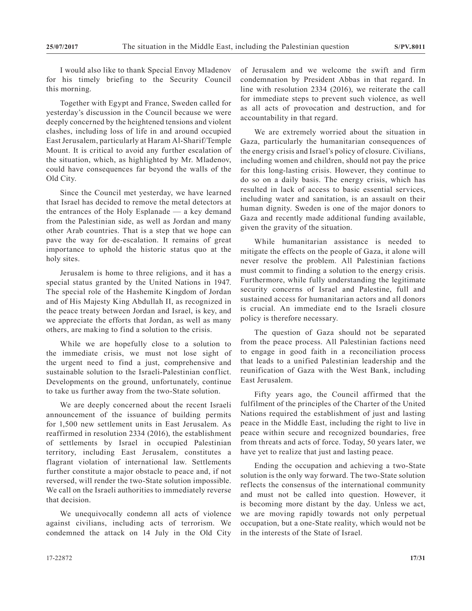I would also like to thank Special Envoy Mladenov for his timely briefing to the Security Council this morning.

Together with Egypt and France, Sweden called for yesterday's discussion in the Council because we were deeply concerned by the heightened tensions and violent clashes, including loss of life in and around occupied East Jerusalem, particularly at Haram Al-Sharif/Temple Mount. It is critical to avoid any further escalation of the situation, which, as highlighted by Mr. Mladenov, could have consequences far beyond the walls of the Old City.

Since the Council met yesterday, we have learned that Israel has decided to remove the metal detectors at the entrances of the Holy Esplanade — a key demand from the Palestinian side, as well as Jordan and many other Arab countries. That is a step that we hope can pave the way for de-escalation. It remains of great importance to uphold the historic status quo at the holy sites.

Jerusalem is home to three religions, and it has a special status granted by the United Nations in 1947. The special role of the Hashemite Kingdom of Jordan and of His Majesty King Abdullah II, as recognized in the peace treaty between Jordan and Israel, is key, and we appreciate the efforts that Jordan, as well as many others, are making to find a solution to the crisis.

While we are hopefully close to a solution to the immediate crisis, we must not lose sight of the urgent need to find a just, comprehensive and sustainable solution to the Israeli-Palestinian conflict. Developments on the ground, unfortunately, continue to take us further away from the two-State solution.

We are deeply concerned about the recent Israeli announcement of the issuance of building permits for 1,500 new settlement units in East Jerusalem. As reaffirmed in resolution 2334 (2016), the establishment of settlements by Israel in occupied Palestinian territory, including East Jerusalem, constitutes a flagrant violation of international law. Settlements further constitute a major obstacle to peace and, if not reversed, will render the two-State solution impossible. We call on the Israeli authorities to immediately reverse that decision.

We unequivocally condemn all acts of violence against civilians, including acts of terrorism. We condemned the attack on 14 July in the Old City of Jerusalem and we welcome the swift and firm condemnation by President Abbas in that regard. In line with resolution 2334 (2016), we reiterate the call for immediate steps to prevent such violence, as well as all acts of provocation and destruction, and for accountability in that regard.

We are extremely worried about the situation in Gaza, particularly the humanitarian consequences of the energy crisis and Israel's policy of closure. Civilians, including women and children, should not pay the price for this long-lasting crisis. However, they continue to do so on a daily basis. The energy crisis, which has resulted in lack of access to basic essential services, including water and sanitation, is an assault on their human dignity. Sweden is one of the major donors to Gaza and recently made additional funding available, given the gravity of the situation.

While humanitarian assistance is needed to mitigate the effects on the people of Gaza, it alone will never resolve the problem. All Palestinian factions must commit to finding a solution to the energy crisis. Furthermore, while fully understanding the legitimate security concerns of Israel and Palestine, full and sustained access for humanitarian actors and all donors is crucial. An immediate end to the Israeli closure policy is therefore necessary.

The question of Gaza should not be separated from the peace process. All Palestinian factions need to engage in good faith in a reconciliation process that leads to a unified Palestinian leadership and the reunification of Gaza with the West Bank, including East Jerusalem.

Fifty years ago, the Council affirmed that the fulfilment of the principles of the Charter of the United Nations required the establishment of just and lasting peace in the Middle East, including the right to live in peace within secure and recognized boundaries, free from threats and acts of force. Today, 50 years later, we have yet to realize that just and lasting peace.

Ending the occupation and achieving a two-State solution is the only way forward. The two-State solution reflects the consensus of the international community and must not be called into question. However, it is becoming more distant by the day. Unless we act, we are moving rapidly towards not only perpetual occupation, but a one-State reality, which would not be in the interests of the State of Israel.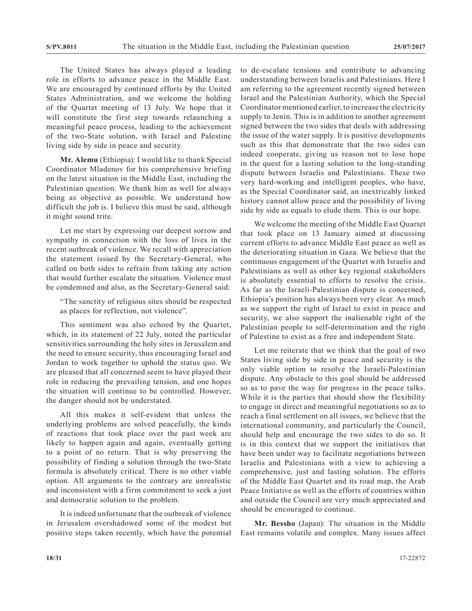The United States has always played a leading role in efforts to advance peace in the Middle East. We are encouraged by continued efforts by the United States Administration, and we welcome the holding of the Quartet meeting of 13 July. We hope that it will constitute the first step towards relaunching a meaningful peace process, leading to the achievement of the two-State solution, with Israel and Palestine living side by side in peace and security.

**Mr. Alemu** (Ethiopia): I would like to thank Special Coordinator Mladenov for his comprehensive briefing on the latest situation in the Middle East, including the Palestinian question. We thank him as well for always being as objective as possible. We understand how difficult the job is. I believe this must be said, although it might sound trite.

Let me start by expressing our deepest sorrow and sympathy in connection with the loss of lives in the recent outbreak of violence. We recall with appreciation the statement issued by the Secretary-General, who called on both sides to refrain from taking any action that would further escalate the situation. Violence must be condemned and also, as the Secretary-General said:

"The sanctity of religious sites should be respected as places for reflection, not violence".

This sentiment was also echoed by the Quartet, which, in its statement of 22 July, noted the particular sensitivities surrounding the holy sites in Jerusalem and the need to ensure security, thus encouraging Israel and Jordan to work together to uphold the status quo. We are pleased that all concerned seem to have played their role in reducing the prevailing tension, and one hopes the situation will continue to be controlled. However, the danger should not be understated.

All this makes it self-evident that unless the underlying problems are solved peacefully, the kinds of reactions that took place over the past week are likely to happen again and again, eventually getting to a point of no return. That is why preserving the possibility of finding a solution through the two-State formula is absolutely critical. There is no other viable option. All arguments to the contrary are unrealistic and inconsistent with a firm commitment to seek a just and democratic solution to the problem.

It is indeed unfortunate that the outbreak of violence in Jerusalem overshadowed some of the modest but positive steps taken recently, which have the potential to de-escalate tensions and contribute to advancing understanding between Israelis and Palestinians. Here I am referring to the agreement recently signed between Israel and the Palestinian Authority, which the Special Coordinator mentioned earlier, to increase the electricity supply to Jenin. This is in addition to another agreement signed between the two sides that deals with addressing the issue of the water supply. It is positive developments such as this that demonstrate that the two sides can indeed cooperate, giving us reason not to lose hope in the quest for a lasting solution to the long-standing dispute between Israelis and Palestinians. These two very hard-working and intelligent peoples, who have, as the Special Coordinator said, an inextricably linked history cannot allow peace and the possibility of living side by side as equals to elude them. This is our hope.

We welcome the meeting of the Middle East Quartet that took place on 13 January aimed at discussing current efforts to advance Middle East peace as well as the deteriorating situation in Gaza. We believe that the continuous engagement of the Quartet with Israelis and Palestinians as well as other key regional stakeholders is absolutely essential to efforts to resolve the crisis. As far as the Israeli-Palestinian dispute is concerned, Ethiopia's position has always been very clear. As much as we support the right of Israel to exist in peace and security, we also support the inalienable right of the Palestinian people to self-determination and the right of Palestine to exist as a free and independent State.

Let me reiterate that we think that the goal of two States living side by side in peace and security is the only viable option to resolve the Israeli-Palestinian dispute. Any obstacle to this goal should be addressed so as to pave the way for progress in the peace talks. While it is the parties that should show the flexibility to engage in direct and meaningful negotiations so as to reach a final settlement on all issues, we believe that the international community, and particularly the Council, should help and encourage the two sides to do so. It is in this context that we support the initiatives that have been under way to facilitate negotiations between Israelis and Palestinians with a view to achieving a comprehensive, just and lasting solution. The efforts of the Middle East Quartet and its road map, the Arab Peace Initiative as well as the efforts of countries within and outside the Council are very much appreciated and should be encouraged to continue.

**Mr. Bessho** (Japan): The situation in the Middle East remains volatile and complex. Many issues affect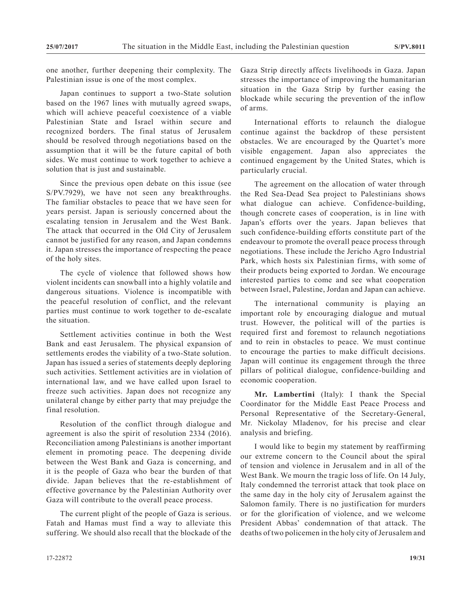one another, further deepening their complexity. The Palestinian issue is one of the most complex.

Japan continues to support a two-State solution based on the 1967 lines with mutually agreed swaps, which will achieve peaceful coexistence of a viable Palestinian State and Israel within secure and recognized borders. The final status of Jerusalem should be resolved through negotiations based on the assumption that it will be the future capital of both sides. We must continue to work together to achieve a solution that is just and sustainable.

Since the previous open debate on this issue (see S/PV.7929), we have not seen any breakthroughs. The familiar obstacles to peace that we have seen for years persist. Japan is seriously concerned about the escalating tension in Jerusalem and the West Bank. The attack that occurred in the Old City of Jerusalem cannot be justified for any reason, and Japan condemns it. Japan stresses the importance of respecting the peace of the holy sites.

The cycle of violence that followed shows how violent incidents can snowball into a highly volatile and dangerous situations. Violence is incompatible with the peaceful resolution of conflict, and the relevant parties must continue to work together to de-escalate the situation.

Settlement activities continue in both the West Bank and east Jerusalem. The physical expansion of settlements erodes the viability of a two-State solution. Japan has issued a series of statements deeply deploring such activities. Settlement activities are in violation of international law, and we have called upon Israel to freeze such activities. Japan does not recognize any unilateral change by either party that may prejudge the final resolution.

Resolution of the conflict through dialogue and agreement is also the spirit of resolution 2334 (2016). Reconciliation among Palestinians is another important element in promoting peace. The deepening divide between the West Bank and Gaza is concerning, and it is the people of Gaza who bear the burden of that divide. Japan believes that the re-establishment of effective governance by the Palestinian Authority over Gaza will contribute to the overall peace process.

The current plight of the people of Gaza is serious. Fatah and Hamas must find a way to alleviate this suffering. We should also recall that the blockade of the Gaza Strip directly affects livelihoods in Gaza. Japan stresses the importance of improving the humanitarian situation in the Gaza Strip by further easing the blockade while securing the prevention of the inflow of arms.

International efforts to relaunch the dialogue continue against the backdrop of these persistent obstacles. We are encouraged by the Quartet's more visible engagement. Japan also appreciates the continued engagement by the United States, which is particularly crucial.

The agreement on the allocation of water through the Red Sea-Dead Sea project to Palestinians shows what dialogue can achieve. Confidence-building, though concrete cases of cooperation, is in line with Japan's efforts over the years. Japan believes that such confidence-building efforts constitute part of the endeavour to promote the overall peace process through negotiations. These include the Jericho Agro Industrial Park, which hosts six Palestinian firms, with some of their products being exported to Jordan. We encourage interested parties to come and see what cooperation between Israel, Palestine, Jordan and Japan can achieve.

The international community is playing an important role by encouraging dialogue and mutual trust. However, the political will of the parties is required first and foremost to relaunch negotiations and to rein in obstacles to peace. We must continue to encourage the parties to make difficult decisions. Japan will continue its engagement through the three pillars of political dialogue, confidence-building and economic cooperation.

**Mr. Lambertini** (Italy): I thank the Special Coordinator for the Middle East Peace Process and Personal Representative of the Secretary-General, Mr. Nickolay Mladenov, for his precise and clear analysis and briefing.

I would like to begin my statement by reaffirming our extreme concern to the Council about the spiral of tension and violence in Jerusalem and in all of the West Bank. We mourn the tragic loss of life. On 14 July, Italy condemned the terrorist attack that took place on the same day in the holy city of Jerusalem against the Salomon family. There is no justification for murders or for the glorification of violence, and we welcome President Abbas' condemnation of that attack. The deaths of two policemen in the holy city of Jerusalem and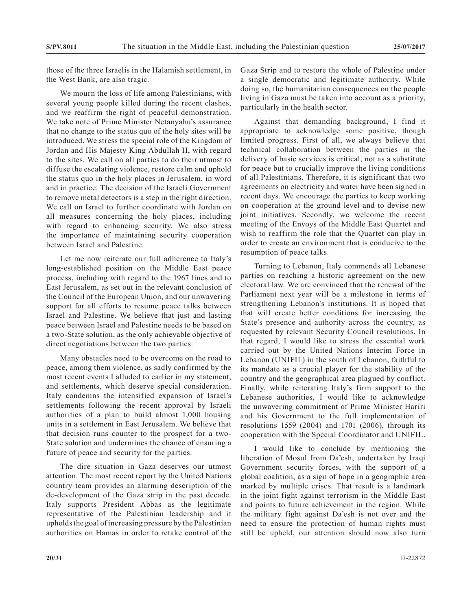those of the three Israelis in the Halamish settlement, in the West Bank, are also tragic.

We mourn the loss of life among Palestinians, with several young people killed during the recent clashes, and we reaffirm the right of peaceful demonstration. We take note of Prime Minister Netanyahu's assurance that no change to the status quo of the holy sites will be introduced. We stress the special role of the Kingdom of Jordan and His Majesty King Abdullah II, with regard to the sites. We call on all parties to do their utmost to diffuse the escalating violence, restore calm and uphold the status quo in the holy places in Jerusalem, in word and in practice. The decision of the Israeli Government to remove metal detectors is a step in the right direction. We call on Israel to further coordinate with Jordan on all measures concerning the holy places, including with regard to enhancing security. We also stress the importance of maintaining security cooperation between Israel and Palestine.

Let me now reiterate our full adherence to Italy's long-established position on the Middle East peace process, including with regard to the 1967 lines and to East Jerusalem, as set out in the relevant conclusion of the Council of the European Union, and our unwavering support for all efforts to resume peace talks between Israel and Palestine. We believe that just and lasting peace between Israel and Palestine needs to be based on a two-State solution, as the only achievable objective of direct negotiations between the two parties.

Many obstacles need to be overcome on the road to peace, among them violence, as sadly confirmed by the most recent events I alluded to earlier in my statement, and settlements, which deserve special consideration. Italy condemns the intensified expansion of Israel's settlements following the recent approval by Israeli authorities of a plan to build almost 1,000 housing units in a settlement in East Jerusalem. We believe that that decision runs counter to the prospect for a two-State solution and undermines the chance of ensuring a future of peace and security for the parties.

The dire situation in Gaza deserves our utmost attention. The most recent report by the United Nations country team provides an alarming description of the de-development of the Gaza strip in the past decade. Italy supports President Abbas as the legitimate representative of the Palestinian leadership and it upholds the goal of increasing pressure by the Palestinian authorities on Hamas in order to retake control of the

Gaza Strip and to restore the whole of Palestine under a single democratic and legitimate authority. While doing so, the humanitarian consequences on the people living in Gaza must be taken into account as a priority, particularly in the health sector.

Against that demanding background, I find it appropriate to acknowledge some positive, though limited progress. First of all, we always believe that technical collaboration between the parties in the delivery of basic services is critical, not as a substitute for peace but to crucially improve the living conditions of all Palestinians. Therefore, it is significant that two agreements on electricity and water have been signed in recent days. We encourage the parties to keep working on cooperation at the ground level and to devise new joint initiatives. Secondly, we welcome the recent meeting of the Envoys of the Middle East Quartet and wish to reaffirm the role that the Quartet can play in order to create an environment that is conducive to the resumption of peace talks.

Turning to Lebanon, Italy commends all Lebanese parties on reaching a historic agreement on the new electoral law. We are convinced that the renewal of the Parliament next year will be a milestone in terms of strengthening Lebanon's institutions. It is hoped that that will create better conditions for increasing the State's presence and authority across the country, as requested by relevant Security Council resolutions. In that regard, I would like to stress the essential work carried out by the United Nations Interim Force in Lebanon (UNIFIL) in the south of Lebanon, faithful to its mandate as a crucial player for the stability of the country and the geographical area plagued by conflict. Finally, while reiterating Italy's firm support to the Lebanese authorities, I would like to acknowledge the unwavering commitment of Prime Minister Hariri and his Government to the full implementation of resolutions 1559 (2004) and 1701 (2006), through its cooperation with the Special Coordinator and UNIFIL.

I would like to conclude by mentioning the liberation of Mosul from Da'esh, undertaken by Iraqi Government security forces, with the support of a global coalition, as a sign of hope in a geographic area marked by multiple crises. That result is a landmark in the joint fight against terrorism in the Middle East and points to future achievement in the region. While the military fight against Da'esh is not over and the need to ensure the protection of human rights must still be upheld, our attention should now also turn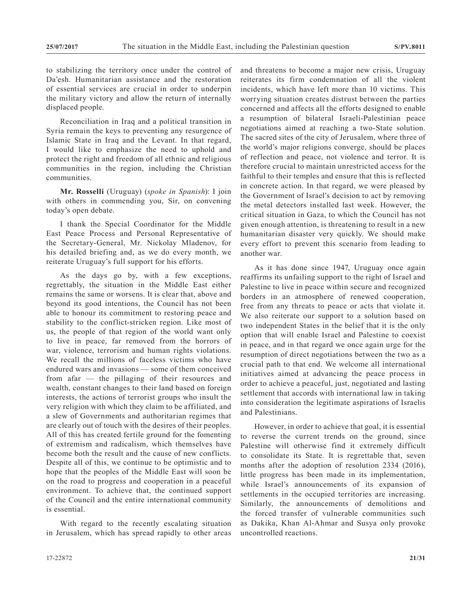to stabilizing the territory once under the control of Da'esh. Humanitarian assistance and the restoration of essential services are crucial in order to underpin the military victory and allow the return of internally displaced people.

Reconciliation in Iraq and a political transition in Syria remain the keys to preventing any resurgence of Islamic State in Iraq and the Levant. In that regard, I would like to emphasize the need to uphold and protect the right and freedom of all ethnic and religious communities in the region, including the Christian communities.

**Mr. Rosselli** (Uruguay) (*spoke in Spanish*): I join with others in commending you, Sir, on convening today's open debate.

I thank the Special Coordinator for the Middle East Peace Process and Personal Representative of the Secretary-General, Mr. Nickolay Mladenov, for his detailed briefing and, as we do every month, we reiterate Uruguay's full support for his efforts.

As the days go by, with a few exceptions, regrettably, the situation in the Middle East either remains the same or worsens. It is clear that, above and beyond its good intentions, the Council has not been able to honour its commitment to restoring peace and stability to the conflict-stricken region. Like most of us, the people of that region of the world want only to live in peace, far removed from the horrors of war, violence, terrorism and human rights violations. We recall the millions of faceless victims who have endured wars and invasions — some of them conceived from afar — the pillaging of their resources and wealth, constant changes to their land based on foreign interests, the actions of terrorist groups who insult the very religion with which they claim to be affiliated, and a slew of Governments and authoritarian regimes that are clearly out of touch with the desires of their peoples. All of this has created fertile ground for the fomenting of extremism and radicalism, which themselves have become both the result and the cause of new conflicts. Despite all of this, we continue to be optimistic and to hope that the peoples of the Middle East will soon be on the road to progress and cooperation in a peaceful environment. To achieve that, the continued support of the Council and the entire international community is essential.

With regard to the recently escalating situation in Jerusalem, which has spread rapidly to other areas and threatens to become a major new crisis, Uruguay reiterates its firm condemnation of all the violent incidents, which have left more than 10 victims. This worrying situation creates distrust between the parties concerned and affects all the efforts designed to enable a resumption of bilateral Israeli-Palestinian peace negotiations aimed at reaching a two-State solution. The sacred sites of the city of Jerusalem, where three of the world's major religions converge, should be places of reflection and peace, not violence and terror. It is therefore crucial to maintain unrestricted access for the faithful to their temples and ensure that this is reflected in concrete action. In that regard, we were pleased by the Government of Israel's decision to act by removing the metal detectors installed last week. However, the critical situation in Gaza, to which the Council has not given enough attention, is threatening to result in a new humanitarian disaster very quickly. We should make every effort to prevent this scenario from leading to another war.

As it has done since 1947, Uruguay once again reaffirms its unfailing support to the right of Israel and Palestine to live in peace within secure and recognized borders in an atmosphere of renewed cooperation, free from any threats to peace or acts that violate it. We also reiterate our support to a solution based on two independent States in the belief that it is the only option that will enable Israel and Palestine to coexist in peace, and in that regard we once again urge for the resumption of direct negotiations between the two as a crucial path to that end. We welcome all international initiatives aimed at advancing the peace process in order to achieve a peaceful, just, negotiated and lasting settlement that accords with international law in taking into consideration the legitimate aspirations of Israelis and Palestinians.

However, in order to achieve that goal, it is essential to reverse the current trends on the ground, since Palestine will otherwise find it extremely difficult to consolidate its State. It is regrettable that, seven months after the adoption of resolution 2334 (2016), little progress has been made in its implementation, while Israel's announcements of its expansion of settlements in the occupied territories are increasing. Similarly, the announcements of demolitions and the forced transfer of vulnerable communities such as Dakika, Khan Al-Ahmar and Susya only provoke uncontrolled reactions.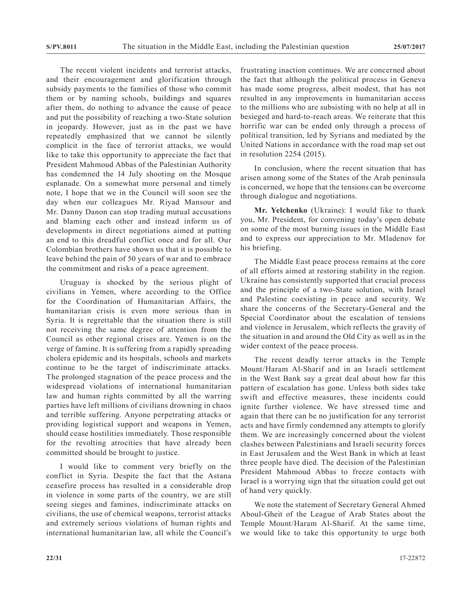The recent violent incidents and terrorist attacks, and their encouragement and glorification through subsidy payments to the families of those who commit them or by naming schools, buildings and squares after them, do nothing to advance the cause of peace and put the possibility of reaching a two-State solution in jeopardy. However, just as in the past we have repeatedly emphasized that we cannot be silently complicit in the face of terrorist attacks, we would like to take this opportunity to appreciate the fact that President Mahmoud Abbas of the Palestinian Authority has condemned the 14 July shooting on the Mosque esplanade. On a somewhat more personal and timely note, I hope that we in the Council will soon see the day when our colleagues Mr. Riyad Mansour and Mr. Danny Danon can stop trading mutual accusations and blaming each other and instead inform us of developments in direct negotiations aimed at putting an end to this dreadful conflict once and for all. Our Colombian brothers have shown us that it is possible to leave behind the pain of 50 years of war and to embrace the commitment and risks of a peace agreement.

Uruguay is shocked by the serious plight of civilians in Yemen, where according to the Office for the Coordination of Humanitarian Affairs, the humanitarian crisis is even more serious than in Syria. It is regrettable that the situation there is still not receiving the same degree of attention from the Council as other regional crises are. Yemen is on the verge of famine. It is suffering from a rapidly spreading cholera epidemic and its hospitals, schools and markets continue to be the target of indiscriminate attacks. The prolonged stagnation of the peace process and the widespread violations of international humanitarian law and human rights committed by all the warring parties have left millions of civilians drowning in chaos and terrible suffering. Anyone perpetrating attacks or providing logistical support and weapons in Yemen, should cease hostilities immediately. Those responsible for the revolting atrocities that have already been committed should be brought to justice.

I would like to comment very briefly on the conflict in Syria. Despite the fact that the Astana ceasefire process has resulted in a considerable drop in violence in some parts of the country, we are still seeing sieges and famines, indiscriminate attacks on civilians, the use of chemical weapons, terrorist attacks and extremely serious violations of human rights and international humanitarian law, all while the Council's

frustrating inaction continues. We are concerned about the fact that although the political process in Geneva has made some progress, albeit modest, that has not resulted in any improvements in humanitarian access to the millions who are subsisting with no help at all in besieged and hard-to-reach areas. We reiterate that this horrific war can be ended only through a process of political transition, led by Syrians and mediated by the United Nations in accordance with the road map set out in resolution 2254 (2015).

In conclusion, where the recent situation that has arisen among some of the States of the Arab peninsula is concerned, we hope that the tensions can be overcome through dialogue and negotiations.

**Mr. Yelchenko** (Ukraine): I would like to thank you, Mr. President, for convening today's open debate on some of the most burning issues in the Middle East and to express our appreciation to Mr. Mladenov for his briefing.

The Middle East peace process remains at the core of all efforts aimed at restoring stability in the region. Ukraine has consistently supported that crucial process and the principle of a two-State solution, with Israel and Palestine coexisting in peace and security. We share the concerns of the Secretary-General and the Special Coordinator about the escalation of tensions and violence in Jerusalem, which reflects the gravity of the situation in and around the Old City as well as in the wider context of the peace process.

The recent deadly terror attacks in the Temple Mount/Haram Al-Sharif and in an Israeli settlement in the West Bank say a great deal about how far this pattern of escalation has gone. Unless both sides take swift and effective measures, these incidents could ignite further violence. We have stressed time and again that there can be no justification for any terrorist acts and have firmly condemned any attempts to glorify them. We are increasingly concerned about the violent clashes between Palestinians and Israeli security forces in East Jerusalem and the West Bank in which at least three people have died. The decision of the Palestinian President Mahmoud Abbas to freeze contacts with Israel is a worrying sign that the situation could get out of hand very quickly.

We note the statement of Secretary General Ahmed Aboul-Gheit of the League of Arab States about the Temple Mount/Haram Al-Sharif. At the same time, we would like to take this opportunity to urge both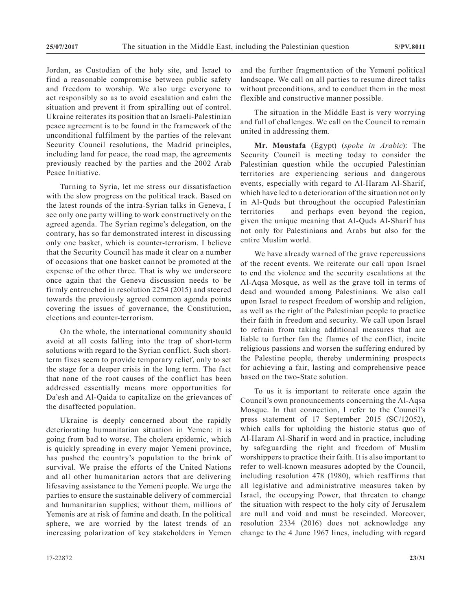Jordan, as Custodian of the holy site, and Israel to find a reasonable compromise between public safety and freedom to worship. We also urge everyone to act responsibly so as to avoid escalation and calm the situation and prevent it from spiralling out of control. Ukraine reiterates its position that an Israeli-Palestinian peace agreement is to be found in the framework of the unconditional fulfilment by the parties of the relevant Security Council resolutions, the Madrid principles, including land for peace, the road map, the agreements previously reached by the parties and the 2002 Arab Peace Initiative.

Turning to Syria, let me stress our dissatisfaction with the slow progress on the political track. Based on the latest rounds of the intra-Syrian talks in Geneva, I see only one party willing to work constructively on the agreed agenda. The Syrian regime's delegation, on the contrary, has so far demonstrated interest in discussing only one basket, which is counter-terrorism. I believe that the Security Council has made it clear on a number of occasions that one basket cannot be promoted at the expense of the other three. That is why we underscore once again that the Geneva discussion needs to be firmly entrenched in resolution 2254 (2015) and steered towards the previously agreed common agenda points covering the issues of governance, the Constitution, elections and counter-terrorism.

On the whole, the international community should avoid at all costs falling into the trap of short-term solutions with regard to the Syrian conflict. Such shortterm fixes seem to provide temporary relief, only to set the stage for a deeper crisis in the long term. The fact that none of the root causes of the conflict has been addressed essentially means more opportunities for Da'esh and Al-Qaida to capitalize on the grievances of the disaffected population.

Ukraine is deeply concerned about the rapidly deteriorating humanitarian situation in Yemen: it is going from bad to worse. The cholera epidemic, which is quickly spreading in every major Yemeni province, has pushed the country's population to the brink of survival. We praise the efforts of the United Nations and all other humanitarian actors that are delivering lifesaving assistance to the Yemeni people. We urge the parties to ensure the sustainable delivery of commercial and humanitarian supplies; without them, millions of Yemenis are at risk of famine and death. In the political sphere, we are worried by the latest trends of an increasing polarization of key stakeholders in Yemen

and the further fragmentation of the Yemeni political landscape. We call on all parties to resume direct talks without preconditions, and to conduct them in the most flexible and constructive manner possible.

The situation in the Middle East is very worrying and full of challenges. We call on the Council to remain united in addressing them.

**Mr. Moustafa** (Egypt) (*spoke in Arabic*): The Security Council is meeting today to consider the Palestinian question while the occupied Palestinian territories are experiencing serious and dangerous events, especially with regard to Al-Haram Al-Sharif, which have led to a deterioration of the situation not only in Al-Quds but throughout the occupied Palestinian territories — and perhaps even beyond the region, given the unique meaning that Al-Quds Al-Sharif has not only for Palestinians and Arabs but also for the entire Muslim world.

We have already warned of the grave repercussions of the recent events. We reiterate our call upon Israel to end the violence and the security escalations at the Al-Aqsa Mosque, as well as the grave toll in terms of dead and wounded among Palestinians. We also call upon Israel to respect freedom of worship and religion, as well as the right of the Palestinian people to practice their faith in freedom and security. We call upon Israel to refrain from taking additional measures that are liable to further fan the flames of the conflict, incite religious passions and worsen the suffering endured by the Palestine people, thereby undermining prospects for achieving a fair, lasting and comprehensive peace based on the two-State solution.

To us it is important to reiterate once again the Council's own pronouncements concerning the Al-Aqsa Mosque. In that connection, I refer to the Council's press statement of 17 September 2015 (SC/12052), which calls for upholding the historic status quo of Al-Haram Al-Sharif in word and in practice, including by safeguarding the right and freedom of Muslim worshippers to practice their faith. It is also important to refer to well-known measures adopted by the Council, including resolution 478 (1980), which reaffirms that all legislative and administrative measures taken by Israel, the occupying Power, that threaten to change the situation with respect to the holy city of Jerusalem are null and void and must be rescinded. Moreover, resolution 2334 (2016) does not acknowledge any change to the 4 June 1967 lines, including with regard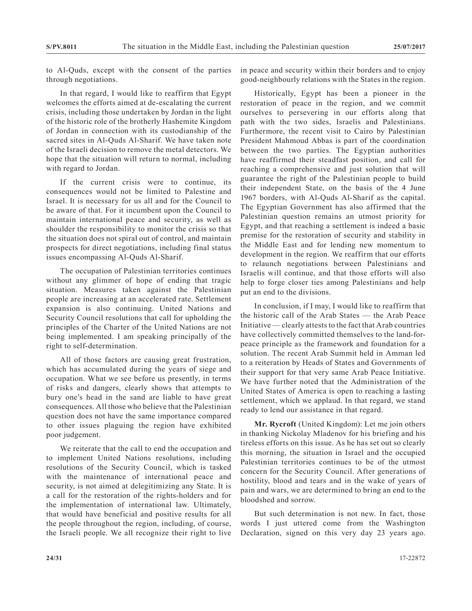to Al-Quds, except with the consent of the parties through negotiations.

In that regard, I would like to reaffirm that Egypt welcomes the efforts aimed at de-escalating the current crisis, including those undertaken by Jordan in the light of the historic role of the brotherly Hashemite Kingdom of Jordan in connection with its custodianship of the sacred sites in Al-Quds Al-Sharif. We have taken note of the Israeli decision to remove the metal detectors. We hope that the situation will return to normal, including with regard to Jordan.

If the current crisis were to continue, its consequences would not be limited to Palestine and Israel. It is necessary for us all and for the Council to be aware of that. For it incumbent upon the Council to maintain international peace and security, as well as shoulder the responsibility to monitor the crisis so that the situation does not spiral out of control, and maintain prospects for direct negotiations, including final status issues encompassing Al-Quds Al-Sharif.

The occupation of Palestinian territories continues without any glimmer of hope of ending that tragic situation. Measures taken against the Palestinian people are increasing at an accelerated rate. Settlement expansion is also continuing. United Nations and Security Council resolutions that call for upholding the principles of the Charter of the United Nations are not being implemented. I am speaking principally of the right to self-determination.

All of those factors are causing great frustration, which has accumulated during the years of siege and occupation. What we see before us presently, in terms of risks and dangers, clearly shows that attempts to bury one's head in the sand are liable to have great consequences. All those who believe that the Palestinian question does not have the same importance compared to other issues plaguing the region have exhibited poor judgement.

We reiterate that the call to end the occupation and to implement United Nations resolutions, including resolutions of the Security Council, which is tasked with the maintenance of international peace and security, is not aimed at delegitimizing any State. It is a call for the restoration of the rights-holders and for the implementation of international law. Ultimately, that would have beneficial and positive results for all the people throughout the region, including, of course, the Israeli people. We all recognize their right to live in peace and security within their borders and to enjoy good-neighbourly relations with the States in the region.

Historically, Egypt has been a pioneer in the restoration of peace in the region, and we commit ourselves to persevering in our efforts along that path with the two sides, Israelis and Palestinians. Furthermore, the recent visit to Cairo by Palestinian President Mahmoud Abbas is part of the coordination between the two parties. The Egyptian authorities have reaffirmed their steadfast position, and call for reaching a comprehensive and just solution that will guarantee the right of the Palestinian people to build their independent State, on the basis of the 4 June 1967 borders, with Al-Quds Al-Sharif as the capital. The Egyptian Government has also affirmed that the Palestinian question remains an utmost priority for Egypt, and that reaching a settlement is indeed a basic premise for the restoration of security and stability in the Middle East and for lending new momentum to development in the region. We reaffirm that our efforts to relaunch negotiations between Palestinians and Israelis will continue, and that those efforts will also help to forge closer ties among Palestinians and help put an end to the divisions.

In conclusion, if I may, I would like to reaffirm that the historic call of the Arab States — the Arab Peace Initiative — clearly attests to the fact that Arab countries have collectively committed themselves to the land-forpeace principle as the framework and foundation for a solution. The recent Arab Summit held in Amman led to a reiteration by Heads of States and Governments of their support for that very same Arab Peace Initiative. We have further noted that the Administration of the United States of America is open to reaching a lasting settlement, which we applaud. In that regard, we stand ready to lend our assistance in that regard.

**Mr. Rycroft** (United Kingdom): Let me join others in thanking Nickolay Mladenov for his briefing and his tireless efforts on this issue. As he has set out so clearly this morning, the situation in Israel and the occupied Palestinian territories continues to be of the utmost concern for the Security Council. After generations of hostility, blood and tears and in the wake of years of pain and wars, we are determined to bring an end to the bloodshed and sorrow.

But such determination is not new. In fact, those words I just uttered come from the Washington Declaration, signed on this very day 23 years ago.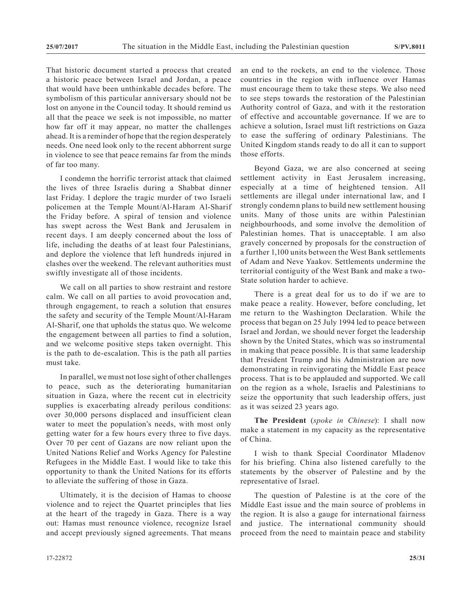That historic document started a process that created a historic peace between Israel and Jordan, a peace that would have been unthinkable decades before. The symbolism of this particular anniversary should not be lost on anyone in the Council today. It should remind us all that the peace we seek is not impossible, no matter how far off it may appear, no matter the challenges ahead. It is a reminder of hope that the region desperately needs. One need look only to the recent abhorrent surge in violence to see that peace remains far from the minds of far too many.

I condemn the horrific terrorist attack that claimed the lives of three Israelis during a Shabbat dinner last Friday. I deplore the tragic murder of two Israeli policemen at the Temple Mount/Al-Haram Al-Sharif the Friday before. A spiral of tension and violence has swept across the West Bank and Jerusalem in recent days. I am deeply concerned about the loss of life, including the deaths of at least four Palestinians, and deplore the violence that left hundreds injured in clashes over the weekend. The relevant authorities must swiftly investigate all of those incidents.

We call on all parties to show restraint and restore calm. We call on all parties to avoid provocation and, through engagement, to reach a solution that ensures the safety and security of the Temple Mount/Al-Haram Al-Sharif, one that upholds the status quo. We welcome the engagement between all parties to find a solution, and we welcome positive steps taken overnight. This is the path to de-escalation. This is the path all parties must take.

In parallel, we must not lose sight of other challenges to peace, such as the deteriorating humanitarian situation in Gaza, where the recent cut in electricity supplies is exacerbating already perilous conditions: over 30,000 persons displaced and insufficient clean water to meet the population's needs, with most only getting water for a few hours every three to five days. Over 70 per cent of Gazans are now reliant upon the United Nations Relief and Works Agency for Palestine Refugees in the Middle East. I would like to take this opportunity to thank the United Nations for its efforts to alleviate the suffering of those in Gaza.

Ultimately, it is the decision of Hamas to choose violence and to reject the Quartet principles that lies at the heart of the tragedy in Gaza. There is a way out: Hamas must renounce violence, recognize Israel and accept previously signed agreements. That means an end to the rockets, an end to the violence. Those countries in the region with influence over Hamas must encourage them to take these steps. We also need to see steps towards the restoration of the Palestinian Authority control of Gaza, and with it the restoration of effective and accountable governance. If we are to achieve a solution, Israel must lift restrictions on Gaza to ease the suffering of ordinary Palestinians. The United Kingdom stands ready to do all it can to support those efforts.

Beyond Gaza, we are also concerned at seeing settlement activity in East Jerusalem increasing, especially at a time of heightened tension. All settlements are illegal under international law, and I strongly condemn plans to build new settlement housing units. Many of those units are within Palestinian neighbourhoods, and some involve the demolition of Palestinian homes. That is unacceptable. I am also gravely concerned by proposals for the construction of a further 1,100 units between the West Bank settlements of Adam and Neve Yaakov. Settlements undermine the territorial contiguity of the West Bank and make a two-State solution harder to achieve.

There is a great deal for us to do if we are to make peace a reality. However, before concluding, let me return to the Washington Declaration. While the process that began on 25 July 1994 led to peace between Israel and Jordan, we should never forget the leadership shown by the United States, which was so instrumental in making that peace possible. It is that same leadership that President Trump and his Administration are now demonstrating in reinvigorating the Middle East peace process. That is to be applauded and supported. We call on the region as a whole, Israelis and Palestinians to seize the opportunity that such leadership offers, just as it was seized 23 years ago.

**The President** (*spoke in Chinese*): I shall now make a statement in my capacity as the representative of China.

I wish to thank Special Coordinator Mladenov for his briefing. China also listened carefully to the statements by the observer of Palestine and by the representative of Israel.

The question of Palestine is at the core of the Middle East issue and the main source of problems in the region. It is also a gauge for international fairness and justice. The international community should proceed from the need to maintain peace and stability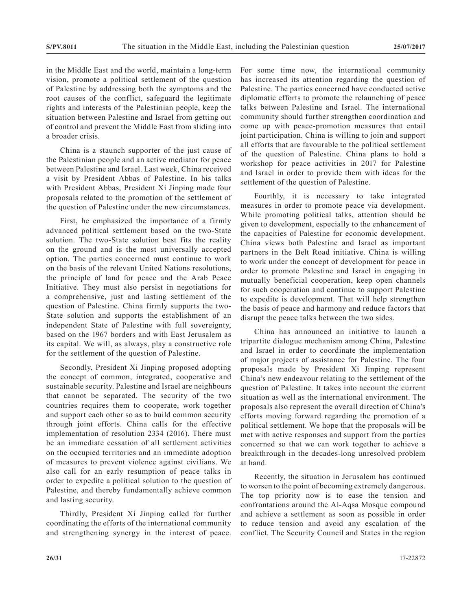in the Middle East and the world, maintain a long-term vision, promote a political settlement of the question of Palestine by addressing both the symptoms and the root causes of the conflict, safeguard the legitimate rights and interests of the Palestinian people, keep the situation between Palestine and Israel from getting out of control and prevent the Middle East from sliding into a broader crisis.

China is a staunch supporter of the just cause of the Palestinian people and an active mediator for peace between Palestine and Israel. Last week, China received a visit by President Abbas of Palestine. In his talks with President Abbas, President Xi Jinping made four proposals related to the promotion of the settlement of the question of Palestine under the new circumstances.

First, he emphasized the importance of a firmly advanced political settlement based on the two-State solution. The two-State solution best fits the reality on the ground and is the most universally accepted option. The parties concerned must continue to work on the basis of the relevant United Nations resolutions, the principle of land for peace and the Arab Peace Initiative. They must also persist in negotiations for a comprehensive, just and lasting settlement of the question of Palestine. China firmly supports the two-State solution and supports the establishment of an independent State of Palestine with full sovereignty, based on the 1967 borders and with East Jerusalem as its capital. We will, as always, play a constructive role for the settlement of the question of Palestine.

Secondly, President Xi Jinping proposed adopting the concept of common, integrated, cooperative and sustainable security. Palestine and Israel are neighbours that cannot be separated. The security of the two countries requires them to cooperate, work together and support each other so as to build common security through joint efforts. China calls for the effective implementation of resolution 2334 (2016). There must be an immediate cessation of all settlement activities on the occupied territories and an immediate adoption of measures to prevent violence against civilians. We also call for an early resumption of peace talks in order to expedite a political solution to the question of Palestine, and thereby fundamentally achieve common and lasting security.

Thirdly, President Xi Jinping called for further coordinating the efforts of the international community and strengthening synergy in the interest of peace.

For some time now, the international community has increased its attention regarding the question of Palestine. The parties concerned have conducted active diplomatic efforts to promote the relaunching of peace talks between Palestine and Israel. The international community should further strengthen coordination and come up with peace-promotion measures that entail joint participation. China is willing to join and support all efforts that are favourable to the political settlement of the question of Palestine. China plans to hold a workshop for peace activities in 2017 for Palestine and Israel in order to provide them with ideas for the settlement of the question of Palestine.

Fourthly, it is necessary to take integrated measures in order to promote peace via development. While promoting political talks, attention should be given to development, especially to the enhancement of the capacities of Palestine for economic development. China views both Palestine and Israel as important partners in the Belt Road initiative. China is willing to work under the concept of development for peace in order to promote Palestine and Israel in engaging in mutually beneficial cooperation, keep open channels for such cooperation and continue to support Palestine to expedite is development. That will help strengthen the basis of peace and harmony and reduce factors that disrupt the peace talks between the two sides.

China has announced an initiative to launch a tripartite dialogue mechanism among China, Palestine and Israel in order to coordinate the implementation of major projects of assistance for Palestine. The four proposals made by President Xi Jinping represent China's new endeavour relating to the settlement of the question of Palestine. It takes into account the current situation as well as the international environment. The proposals also represent the overall direction of China's efforts moving forward regarding the promotion of a political settlement. We hope that the proposals will be met with active responses and support from the parties concerned so that we can work together to achieve a breakthrough in the decades-long unresolved problem at hand.

Recently, the situation in Jerusalem has continued to worsen to the point of becoming extremely dangerous. The top priority now is to ease the tension and confrontations around the Al-Aqsa Mosque compound and achieve a settlement as soon as possible in order to reduce tension and avoid any escalation of the conflict. The Security Council and States in the region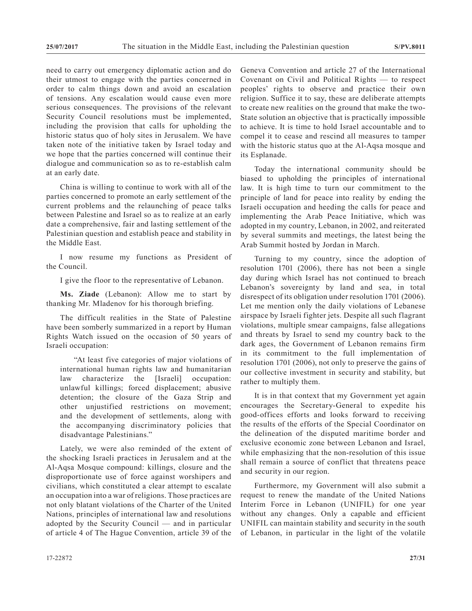need to carry out emergency diplomatic action and do their utmost to engage with the parties concerned in order to calm things down and avoid an escalation of tensions. Any escalation would cause even more serious consequences. The provisions of the relevant Security Council resolutions must be implemented, including the provision that calls for upholding the historic status quo of holy sites in Jerusalem. We have taken note of the initiative taken by Israel today and we hope that the parties concerned will continue their dialogue and communication so as to re-establish calm at an early date.

China is willing to continue to work with all of the parties concerned to promote an early settlement of the current problems and the relaunching of peace talks between Palestine and Israel so as to realize at an early date a comprehensive, fair and lasting settlement of the Palestinian question and establish peace and stability in the Middle East.

I now resume my functions as President of the Council.

I give the floor to the representative of Lebanon.

**Ms. Ziade** (Lebanon): Allow me to start by thanking Mr. Mladenov for his thorough briefing.

The difficult realities in the State of Palestine have been somberly summarized in a report by Human Rights Watch issued on the occasion of 50 years of Israeli occupation:

"At least five categories of major violations of international human rights law and humanitarian law characterize the [Israeli] occupation: unlawful killings; forced displacement; abusive detention; the closure of the Gaza Strip and other unjustified restrictions on movement; and the development of settlements, along with the accompanying discriminatory policies that disadvantage Palestinians."

Lately, we were also reminded of the extent of the shocking Israeli practices in Jerusalem and at the Al-Aqsa Mosque compound: killings, closure and the disproportionate use of force against worshipers and civilians, which constituted a clear attempt to escalate an occupation into a war of religions. Those practices are not only blatant violations of the Charter of the United Nations, principles of international law and resolutions adopted by the Security Council — and in particular of article 4 of The Hague Convention, article 39 of the

Geneva Convention and article 27 of the International Covenant on Civil and Political Rights — to respect peoples' rights to observe and practice their own religion. Suffice it to say, these are deliberate attempts to create new realities on the ground that make the two-State solution an objective that is practically impossible to achieve. It is time to hold Israel accountable and to compel it to cease and rescind all measures to tamper with the historic status quo at the Al-Aqsa mosque and its Esplanade.

Today the international community should be biased to upholding the principles of international law. It is high time to turn our commitment to the principle of land for peace into reality by ending the Israeli occupation and heeding the calls for peace and implementing the Arab Peace Initiative, which was adopted in my country, Lebanon, in 2002, and reiterated by several summits and meetings, the latest being the Arab Summit hosted by Jordan in March.

Turning to my country, since the adoption of resolution 1701 (2006), there has not been a single day during which Israel has not continued to breach Lebanon's sovereignty by land and sea, in total disrespect of its obligation under resolution 1701 (2006). Let me mention only the daily violations of Lebanese airspace by Israeli fighter jets. Despite all such flagrant violations, multiple smear campaigns, false allegations and threats by Israel to send my country back to the dark ages, the Government of Lebanon remains firm in its commitment to the full implementation of resolution 1701 (2006), not only to preserve the gains of our collective investment in security and stability, but rather to multiply them.

It is in that context that my Government yet again encourages the Secretary-General to expedite his good-offices efforts and looks forward to receiving the results of the efforts of the Special Coordinator on the delineation of the disputed maritime border and exclusive economic zone between Lebanon and Israel, while emphasizing that the non-resolution of this issue shall remain a source of conflict that threatens peace and security in our region.

Furthermore, my Government will also submit a request to renew the mandate of the United Nations Interim Force in Lebanon (UNIFIL) for one year without any changes. Only a capable and efficient UNIFIL can maintain stability and security in the south of Lebanon, in particular in the light of the volatile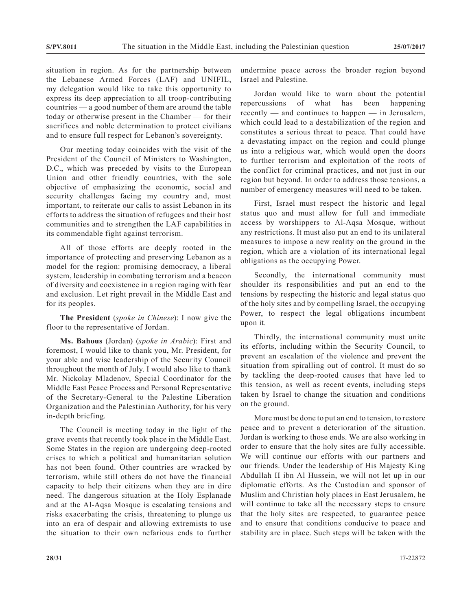situation in region. As for the partnership between the Lebanese Armed Forces (LAF) and UNIFIL, my delegation would like to take this opportunity to express its deep appreciation to all troop-contributing countries — a good number of them are around the table today or otherwise present in the Chamber — for their sacrifices and noble determination to protect civilians and to ensure full respect for Lebanon's sovereignty.

Our meeting today coincides with the visit of the President of the Council of Ministers to Washington, D.C., which was preceded by visits to the European Union and other friendly countries, with the sole objective of emphasizing the economic, social and security challenges facing my country and, most important, to reiterate our calls to assist Lebanon in its efforts to address the situation of refugees and their host communities and to strengthen the LAF capabilities in its commendable fight against terrorism.

All of those efforts are deeply rooted in the importance of protecting and preserving Lebanon as a model for the region: promising democracy, a liberal system, leadership in combating terrorism and a beacon of diversity and coexistence in a region raging with fear and exclusion. Let right prevail in the Middle East and for its peoples.

**The President** (*spoke in Chinese*): I now give the floor to the representative of Jordan.

**Ms. Bahous** (Jordan) (*spoke in Arabic*): First and foremost, I would like to thank you, Mr. President, for your able and wise leadership of the Security Council throughout the month of July. I would also like to thank Mr. Nickolay Mladenov, Special Coordinator for the Middle East Peace Process and Personal Representative of the Secretary-General to the Palestine Liberation Organization and the Palestinian Authority, for his very in-depth briefing.

The Council is meeting today in the light of the grave events that recently took place in the Middle East. Some States in the region are undergoing deep-rooted crises to which a political and humanitarian solution has not been found. Other countries are wracked by terrorism, while still others do not have the financial capacity to help their citizens when they are in dire need. The dangerous situation at the Holy Esplanade and at the Al-Aqsa Mosque is escalating tensions and risks exacerbating the crisis, threatening to plunge us into an era of despair and allowing extremists to use the situation to their own nefarious ends to further undermine peace across the broader region beyond Israel and Palestine.

Jordan would like to warn about the potential repercussions of what has been happening recently — and continues to happen — in Jerusalem, which could lead to a destabilization of the region and constitutes a serious threat to peace. That could have a devastating impact on the region and could plunge us into a religious war, which would open the doors to further terrorism and exploitation of the roots of the conflict for criminal practices, and not just in our region but beyond. In order to address those tensions, a number of emergency measures will need to be taken.

First, Israel must respect the historic and legal status quo and must allow for full and immediate access by worshippers to Al-Aqsa Mosque, without any restrictions. It must also put an end to its unilateral measures to impose a new reality on the ground in the region, which are a violation of its international legal obligations as the occupying Power.

Secondly, the international community must shoulder its responsibilities and put an end to the tensions by respecting the historic and legal status quo of the holy sites and by compelling Israel, the occupying Power, to respect the legal obligations incumbent upon it.

Thirdly, the international community must unite its efforts, including within the Security Council, to prevent an escalation of the violence and prevent the situation from spiralling out of control. It must do so by tackling the deep-rooted causes that have led to this tension, as well as recent events, including steps taken by Israel to change the situation and conditions on the ground.

More must be done to put an end to tension, to restore peace and to prevent a deterioration of the situation. Jordan is working to those ends. We are also working in order to ensure that the holy sites are fully accessible. We will continue our efforts with our partners and our friends. Under the leadership of His Majesty King Abdullah II ibn Al Hussein, we will not let up in our diplomatic efforts. As the Custodian and sponsor of Muslim and Christian holy places in East Jerusalem, he will continue to take all the necessary steps to ensure that the holy sites are respected, to guarantee peace and to ensure that conditions conducive to peace and stability are in place. Such steps will be taken with the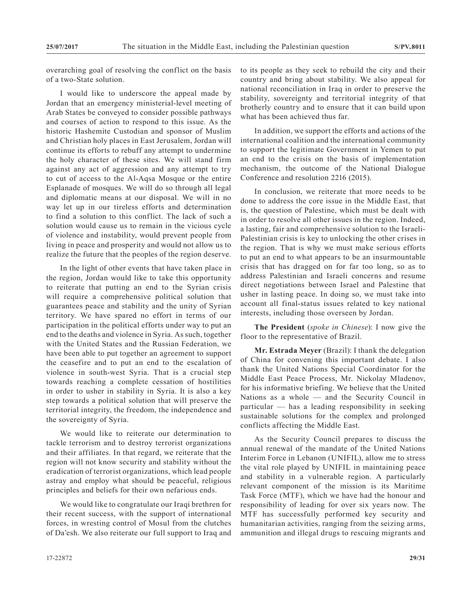overarching goal of resolving the conflict on the basis of a two-State solution.

I would like to underscore the appeal made by Jordan that an emergency ministerial-level meeting of Arab States be conveyed to consider possible pathways and courses of action to respond to this issue. As the historic Hashemite Custodian and sponsor of Muslim and Christian holy places in East Jerusalem, Jordan will continue its efforts to rebuff any attempt to undermine the holy character of these sites. We will stand firm against any act of aggression and any attempt to try to cut of access to the Al-Aqsa Mosque or the entire Esplanade of mosques. We will do so through all legal and diplomatic means at our disposal. We will in no way let up in our tireless efforts and determination to find a solution to this conflict. The lack of such a solution would cause us to remain in the vicious cycle of violence and instability, would prevent people from living in peace and prosperity and would not allow us to realize the future that the peoples of the region deserve.

In the light of other events that have taken place in the region, Jordan would like to take this opportunity to reiterate that putting an end to the Syrian crisis will require a comprehensive political solution that guarantees peace and stability and the unity of Syrian territory. We have spared no effort in terms of our participation in the political efforts under way to put an end to the deaths and violence in Syria. As such, together with the United States and the Russian Federation, we have been able to put together an agreement to support the ceasefire and to put an end to the escalation of violence in south-west Syria. That is a crucial step towards reaching a complete cessation of hostilities in order to usher in stability in Syria. It is also a key step towards a political solution that will preserve the territorial integrity, the freedom, the independence and the sovereignty of Syria.

We would like to reiterate our determination to tackle terrorism and to destroy terrorist organizations and their affiliates. In that regard, we reiterate that the region will not know security and stability without the eradication of terrorist organizations, which lead people astray and employ what should be peaceful, religious principles and beliefs for their own nefarious ends.

We would like to congratulate our Iraqi brethren for their recent success, with the support of international forces, in wresting control of Mosul from the clutches of Da'esh. We also reiterate our full support to Iraq and

In addition, we support the efforts and actions of the international coalition and the international community to support the legitimate Government in Yemen to put an end to the crisis on the basis of implementation mechanism, the outcome of the National Dialogue Conference and resolution 2216 (2015).

In conclusion, we reiterate that more needs to be done to address the core issue in the Middle East, that is, the question of Palestine, which must be dealt with in order to resolve all other issues in the region. Indeed, a lasting, fair and comprehensive solution to the Israeli-Palestinian crisis is key to unlocking the other crises in the region. That is why we must make serious efforts to put an end to what appears to be an insurmountable crisis that has dragged on for far too long, so as to address Palestinian and Israeli concerns and resume direct negotiations between Israel and Palestine that usher in lasting peace. In doing so, we must take into account all final-status issues related to key national interests, including those overseen by Jordan.

**The President** (*spoke in Chinese*): I now give the floor to the representative of Brazil.

**Mr. Estrada Meyer** (Brazil): I thank the delegation of China for convening this important debate. I also thank the United Nations Special Coordinator for the Middle East Peace Process, Mr. Nickolay Mladenov, for his informative briefing. We believe that the United Nations as a whole — and the Security Council in particular — has a leading responsibility in seeking sustainable solutions for the complex and prolonged conflicts affecting the Middle East.

As the Security Council prepares to discuss the annual renewal of the mandate of the United Nations Interim Force in Lebanon (UNIFIL), allow me to stress the vital role played by UNIFIL in maintaining peace and stability in a vulnerable region. A particularly relevant component of the mission is its Maritime Task Force (MTF), which we have had the honour and responsibility of leading for over six years now. The MTF has successfully performed key security and humanitarian activities, ranging from the seizing arms, ammunition and illegal drugs to rescuing migrants and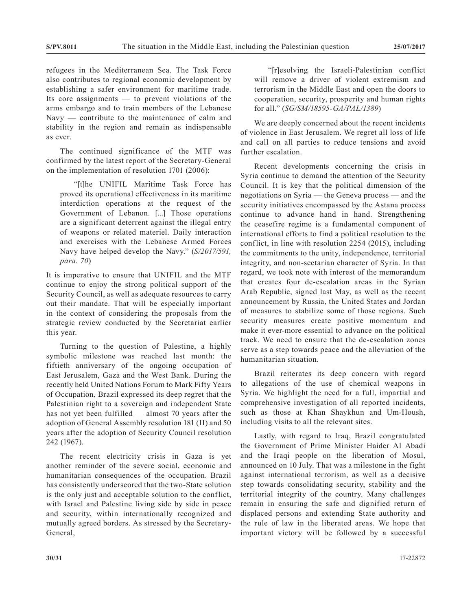refugees in the Mediterranean Sea. The Task Force also contributes to regional economic development by establishing a safer environment for maritime trade. Its core assignments — to prevent violations of the arms embargo and to train members of the Lebanese Navy — contribute to the maintenance of calm and stability in the region and remain as indispensable as ever.

The continued significance of the MTF was confirmed by the latest report of the Secretary-General on the implementation of resolution 1701 (2006):

"[t]he UNIFIL Maritime Task Force has proved its operational effectiveness in its maritime interdiction operations at the request of the Government of Lebanon. [...] Those operations are a significant deterrent against the illegal entry of weapons or related materiel. Daily interaction and exercises with the Lebanese Armed Forces Navy have helped develop the Navy." (*S/2017/591, para. 70*)

It is imperative to ensure that UNIFIL and the MTF continue to enjoy the strong political support of the Security Council, as well as adequate resources to carry out their mandate. That will be especially important in the context of considering the proposals from the strategic review conducted by the Secretariat earlier this year.

Turning to the question of Palestine, a highly symbolic milestone was reached last month: the fiftieth anniversary of the ongoing occupation of East Jerusalem, Gaza and the West Bank. During the recently held United Nations Forum to Mark Fifty Years of Occupation, Brazil expressed its deep regret that the Palestinian right to a sovereign and independent State has not yet been fulfilled — almost 70 years after the adoption of General Assembly resolution 181 (II) and 50 years after the adoption of Security Council resolution 242 (1967).

The recent electricity crisis in Gaza is yet another reminder of the severe social, economic and humanitarian consequences of the occupation. Brazil has consistently underscored that the two-State solution is the only just and acceptable solution to the conflict, with Israel and Palestine living side by side in peace and security, within internationally recognized and mutually agreed borders. As stressed by the Secretary-General,

"[r]esolving the Israeli-Palestinian conflict will remove a driver of violent extremism and terrorism in the Middle East and open the doors to cooperation, security, prosperity and human rights for all." (*SG/SM/18595-GA/PAL/1389*)

We are deeply concerned about the recent incidents of violence in East Jerusalem. We regret all loss of life and call on all parties to reduce tensions and avoid further escalation.

Recent developments concerning the crisis in Syria continue to demand the attention of the Security Council. It is key that the political dimension of the negotiations on Syria — the Geneva process — and the security initiatives encompassed by the Astana process continue to advance hand in hand. Strengthening the ceasefire regime is a fundamental component of international efforts to find a political resolution to the conflict, in line with resolution 2254 (2015), including the commitments to the unity, independence, territorial integrity, and non-sectarian character of Syria. In that regard, we took note with interest of the memorandum that creates four de-escalation areas in the Syrian Arab Republic, signed last May, as well as the recent announcement by Russia, the United States and Jordan of measures to stabilize some of those regions. Such security measures create positive momentum and make it ever-more essential to advance on the political track. We need to ensure that the de-escalation zones serve as a step towards peace and the alleviation of the humanitarian situation.

Brazil reiterates its deep concern with regard to allegations of the use of chemical weapons in Syria. We highlight the need for a full, impartial and comprehensive investigation of all reported incidents, such as those at Khan Shaykhun and Um-Housh, including visits to all the relevant sites.

Lastly, with regard to Iraq, Brazil congratulated the Government of Prime Minister Haider Al Abadi and the Iraqi people on the liberation of Mosul, announced on 10 July. That was a milestone in the fight against international terrorism, as well as a decisive step towards consolidating security, stability and the territorial integrity of the country. Many challenges remain in ensuring the safe and dignified return of displaced persons and extending State authority and the rule of law in the liberated areas. We hope that important victory will be followed by a successful